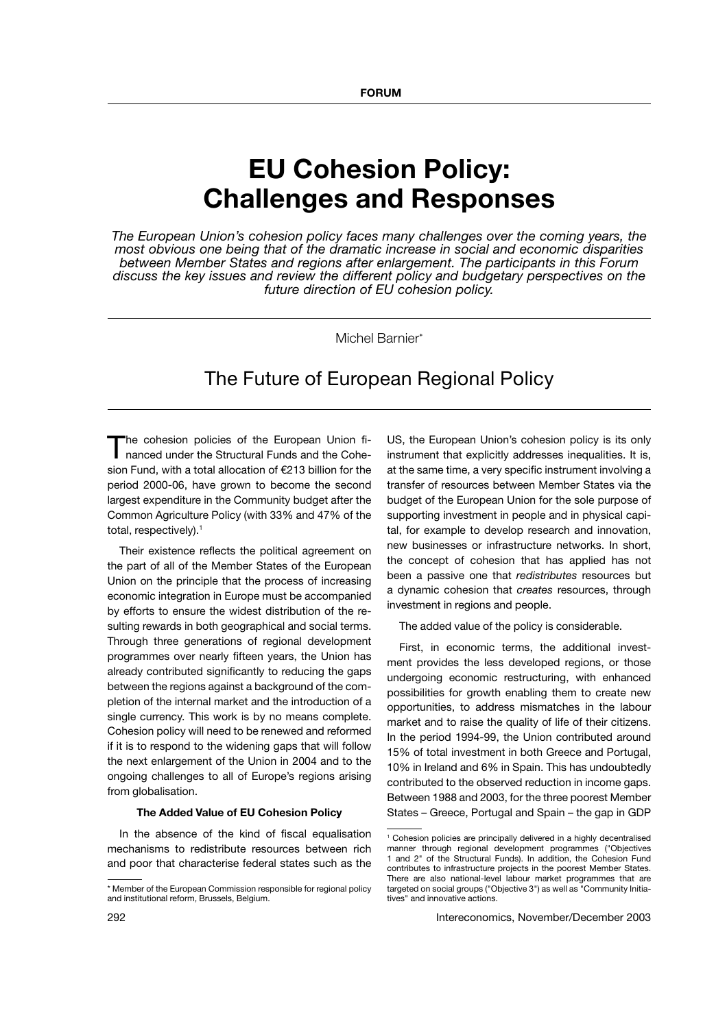# **EU Cohesion Policy: Challenges and Responses**

*The European Union's cohesion policy faces many challenges over the coming years, the most obvious one being that of the dramatic increase in social and economic disparities between Member States and regions after enlargement. The participants in this Forum discuss the key issues and review the different policy and budgetary perspectives on the future direction of EU cohesion policy.*

Michel Barnier\*

## The Future of European Regional Policy

The cohesion policies of the European Union financed under the Structural Funds and the Cohesion Fund, with a total allocation of €213 billion for the period 2000-06, have grown to become the second largest expenditure in the Community budget after the Common Agriculture Policy (with 33% and 47% of the total, respectively).<sup>1</sup>

Their existence reflects the political agreement on the part of all of the Member States of the European Union on the principle that the process of increasing economic integration in Europe must be accompanied by efforts to ensure the widest distribution of the resulting rewards in both geographical and social terms. Through three generations of regional development programmes over nearly fifteen years, the Union has already contributed significantly to reducing the gaps between the regions against a background of the completion of the internal market and the introduction of a single currency. This work is by no means complete. Cohesion policy will need to be renewed and reformed if it is to respond to the widening gaps that will follow the next enlargement of the Union in 2004 and to the ongoing challenges to all of Europe's regions arising from globalisation.

## **The Added Value of EU Cohesion Policy**

In the absence of the kind of fiscal equalisation mechanisms to redistribute resources between rich and poor that characterise federal states such as the

US, the European Union's cohesion policy is its only instrument that explicitly addresses inequalities. It is, at the same time, a very specific instrument involving a transfer of resources between Member States via the budget of the European Union for the sole purpose of supporting investment in people and in physical capital, for example to develop research and innovation, new businesses or infrastructure networks. In short, the concept of cohesion that has applied has not been a passive one that *redistributes* resources but a dynamic cohesion that *creates* resources, through investment in regions and people.

The added value of the policy is considerable.

First, in economic terms, the additional investment provides the less developed regions, or those undergoing economic restructuring, with enhanced possibilities for growth enabling them to create new opportunities, to address mismatches in the labour market and to raise the quality of life of their citizens. In the period 1994-99, the Union contributed around 15% of total investment in both Greece and Portugal, 10% in Ireland and 6% in Spain. This has undoubtedly contributed to the observed reduction in income gaps. Between 1988 and 2003, for the three poorest Member States – Greece, Portugal and Spain – the gap in GDP

<sup>\*</sup> Member of the European Commission responsible for regional policy and institutional reform, Brussels, Belgium.

<sup>&</sup>lt;sup>1</sup> Cohesion policies are principally delivered in a highly decentralised manner through regional development programmes ("Objectives 1 and 2" of the Structural Funds). In addition, the Cohesion Fund contributes to infrastructure projects in the poorest Member States. There are also national-level labour market programmes that are targeted on social groups ("Objective 3") as well as "Community Initiatives" and innovative actions.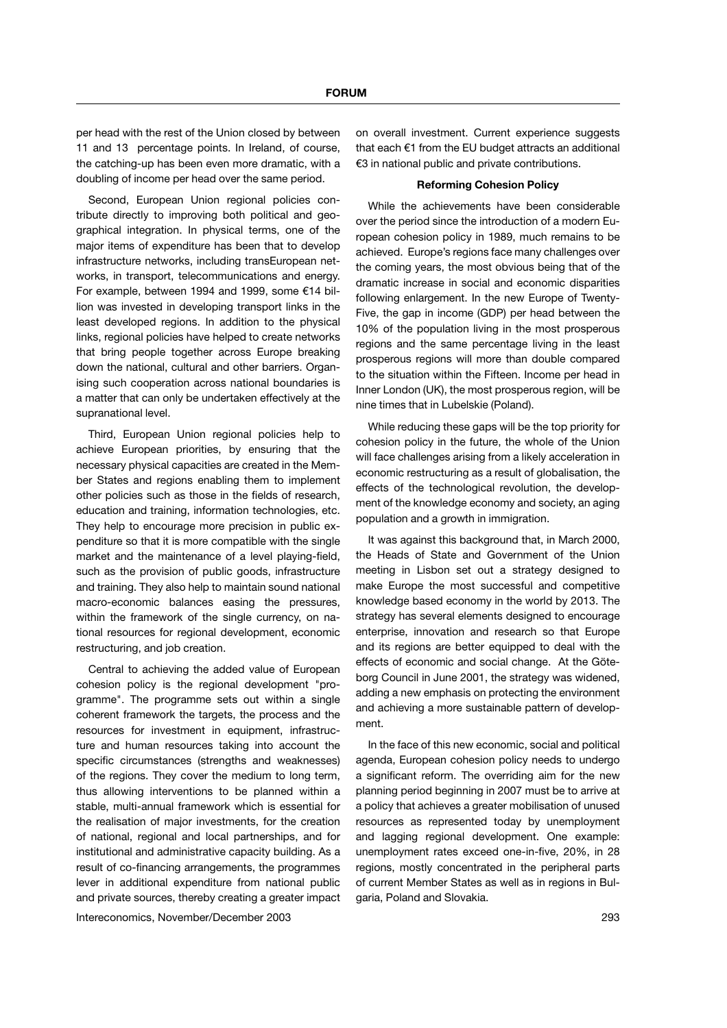per head with the rest of the Union closed by between 11 and 13 percentage points. In Ireland, of course, the catching-up has been even more dramatic, with a doubling of income per head over the same period.

Second, European Union regional policies contribute directly to improving both political and geographical integration. In physical terms, one of the major items of expenditure has been that to develop infrastructure networks, including transEuropean networks, in transport, telecommunications and energy. For example, between 1994 and 1999, some €14 billion was invested in developing transport links in the least developed regions. In addition to the physical links, regional policies have helped to create networks that bring people together across Europe breaking down the national, cultural and other barriers. Organising such cooperation across national boundaries is a matter that can only be undertaken effectively at the supranational level.

Third, European Union regional policies help to achieve European priorities, by ensuring that the necessary physical capacities are created in the Member States and regions enabling them to implement other policies such as those in the fields of research, education and training, information technologies, etc. They help to encourage more precision in public expenditure so that it is more compatible with the single market and the maintenance of a level playing-field, such as the provision of public goods, infrastructure and training. They also help to maintain sound national macro-economic balances easing the pressures, within the framework of the single currency, on national resources for regional development, economic restructuring, and job creation.

Central to achieving the added value of European cohesion policy is the regional development "programme". The programme sets out within a single coherent framework the targets, the process and the resources for investment in equipment, infrastructure and human resources taking into account the specific circumstances (strengths and weaknesses) of the regions. They cover the medium to long term, thus allowing interventions to be planned within a stable, multi-annual framework which is essential for the realisation of major investments, for the creation of national, regional and local partnerships, and for institutional and administrative capacity building. As a result of co-financing arrangements, the programmes lever in additional expenditure from national public and private sources, thereby creating a greater impact

Intereconomics, November/December 2003

on overall investment. Current experience suggests that each €1 from the EU budget attracts an additional €3 in national public and private contributions.

## **Reforming Cohesion Policy**

While the achievements have been considerable over the period since the introduction of a modern European cohesion policy in 1989, much remains to be achieved. Europe's regions face many challenges over the coming years, the most obvious being that of the dramatic increase in social and economic disparities following enlargement. In the new Europe of Twenty-Five, the gap in income (GDP) per head between the 10% of the population living in the most prosperous regions and the same percentage living in the least prosperous regions will more than double compared to the situation within the Fifteen. Income per head in Inner London (UK), the most prosperous region, will be nine times that in Lubelskie (Poland).

While reducing these gaps will be the top priority for cohesion policy in the future, the whole of the Union will face challenges arising from a likely acceleration in economic restructuring as a result of globalisation, the effects of the technological revolution, the development of the knowledge economy and society, an aging population and a growth in immigration.

It was against this background that, in March 2000, the Heads of State and Government of the Union meeting in Lisbon set out a strategy designed to make Europe the most successful and competitive knowledge based economy in the world by 2013. The strategy has several elements designed to encourage enterprise, innovation and research so that Europe and its regions are better equipped to deal with the effects of economic and social change. At the Göteborg Council in June 2001, the strategy was widened, adding a new emphasis on protecting the environment and achieving a more sustainable pattern of development.

In the face of this new economic, social and political agenda, European cohesion policy needs to undergo a significant reform. The overriding aim for the new planning period beginning in 2007 must be to arrive at a policy that achieves a greater mobilisation of unused resources as represented today by unemployment and lagging regional development. One example: unemployment rates exceed one-in-five, 20%, in 28 regions, mostly concentrated in the peripheral parts of current Member States as well as in regions in Bulgaria, Poland and Slovakia.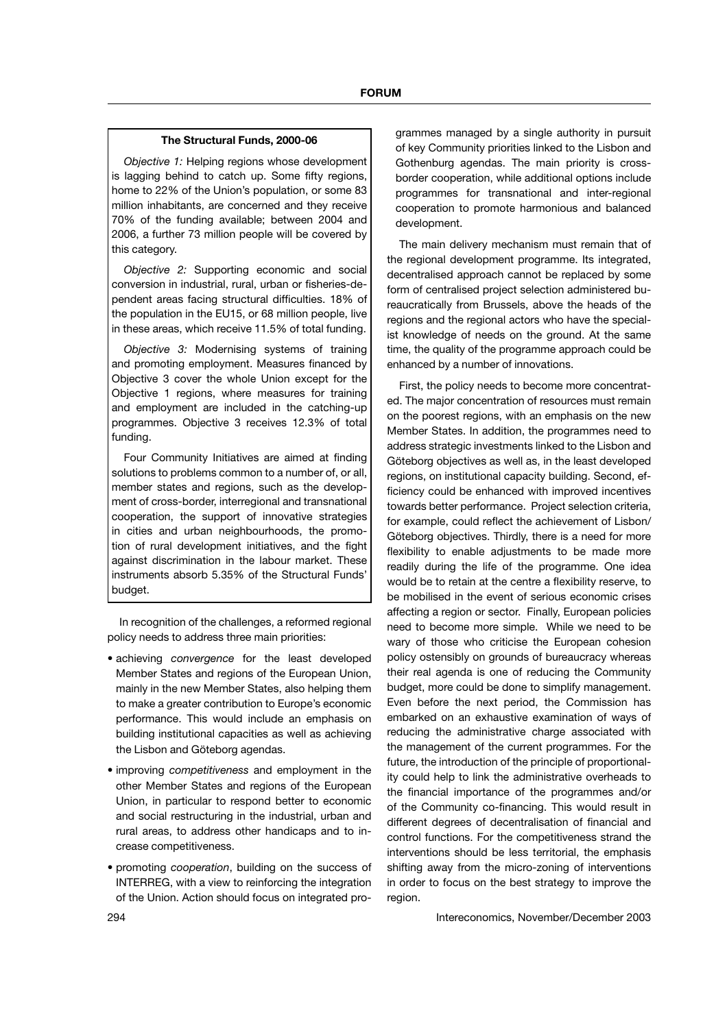## **The Structural Funds, 2000-06**

*Objective 1:* Helping regions whose development is lagging behind to catch up. Some fifty regions, home to 22% of the Union's population, or some 83 million inhabitants, are concerned and they receive 70% of the funding available; between 2004 and 2006, a further 73 million people will be covered by this category.

*Objective 2:* Supporting economic and social conversion in industrial, rural, urban or fisheries-dependent areas facing structural difficulties. 18% of the population in the EU15, or 68 million people, live in these areas, which receive 11.5% of total funding.

*Objective 3:* Modernising systems of training and promoting employment. Measures financed by Objective 3 cover the whole Union except for the Objective 1 regions, where measures for training and employment are included in the catching-up programmes. Objective 3 receives 12.3% of total funding.

Four Community Initiatives are aimed at finding solutions to problems common to a number of, or all, member states and regions, such as the development of cross-border, interregional and transnational cooperation, the support of innovative strategies in cities and urban neighbourhoods, the promotion of rural development initiatives, and the fight against discrimination in the labour market. These instruments absorb 5.35% of the Structural Funds' budget.

In recognition of the challenges, a reformed regional policy needs to address three main priorities:

- achieving *convergence* for the least developed Member States and regions of the European Union, mainly in the new Member States, also helping them to make a greater contribution to Europe's economic performance. This would include an emphasis on building institutional capacities as well as achieving the Lisbon and Göteborg agendas.
- improving *competitiveness* and employment in the other Member States and regions of the European Union, in particular to respond better to economic and social restructuring in the industrial, urban and rural areas, to address other handicaps and to increase competitiveness.
- promoting *cooperation*, building on the success of INTERREG, with a view to reinforcing the integration of the Union. Action should focus on integrated pro-

grammes managed by a single authority in pursuit of key Community priorities linked to the Lisbon and Gothenburg agendas. The main priority is crossborder cooperation, while additional options include programmes for transnational and inter-regional cooperation to promote harmonious and balanced development.

The main delivery mechanism must remain that of the regional development programme. Its integrated, decentralised approach cannot be replaced by some form of centralised project selection administered bureaucratically from Brussels, above the heads of the regions and the regional actors who have the specialist knowledge of needs on the ground. At the same time, the quality of the programme approach could be enhanced by a number of innovations.

First, the policy needs to become more concentrated. The major concentration of resources must remain on the poorest regions, with an emphasis on the new Member States. In addition, the programmes need to address strategic investments linked to the Lisbon and Göteborg objectives as well as, in the least developed regions, on institutional capacity building. Second, efficiency could be enhanced with improved incentives towards better performance. Project selection criteria, for example, could reflect the achievement of Lisbon/ Göteborg objectives. Thirdly, there is a need for more flexibility to enable adjustments to be made more readily during the life of the programme. One idea would be to retain at the centre a flexibility reserve, to be mobilised in the event of serious economic crises affecting a region or sector. Finally, European policies need to become more simple. While we need to be wary of those who criticise the European cohesion policy ostensibly on grounds of bureaucracy whereas their real agenda is one of reducing the Community budget, more could be done to simplify management. Even before the next period, the Commission has embarked on an exhaustive examination of ways of reducing the administrative charge associated with the management of the current programmes. For the future, the introduction of the principle of proportionality could help to link the administrative overheads to the financial importance of the programmes and/or of the Community co-financing. This would result in different degrees of decentralisation of financial and control functions. For the competitiveness strand the interventions should be less territorial, the emphasis shifting away from the micro-zoning of interventions in order to focus on the best strategy to improve the region.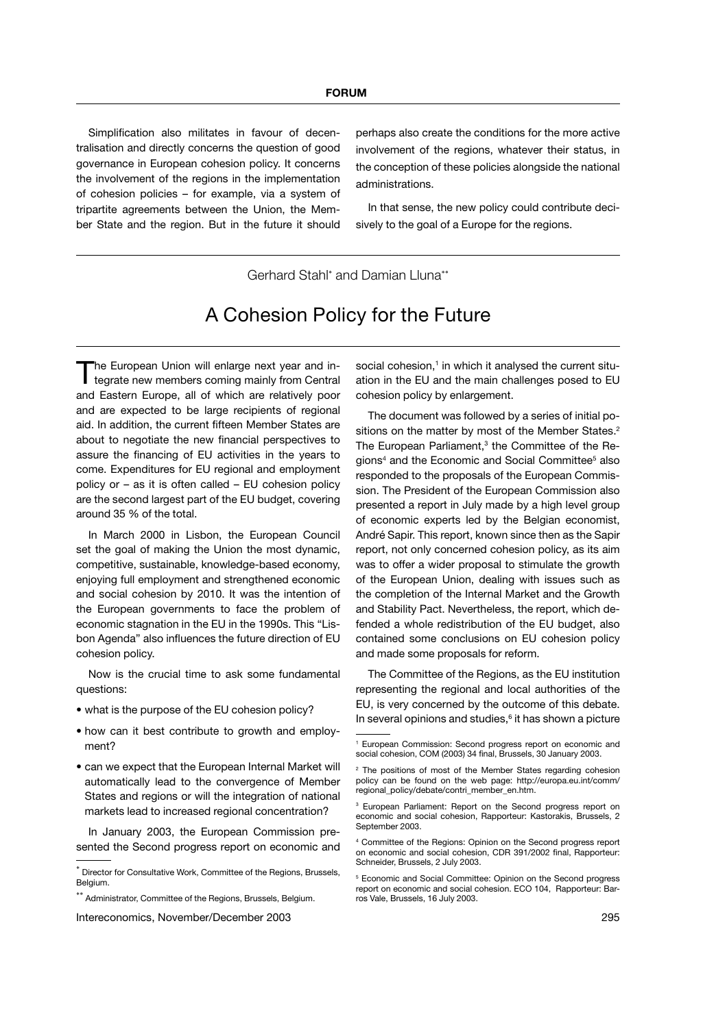Simplification also militates in favour of decentralisation and directly concerns the question of good governance in European cohesion policy. It concerns the involvement of the regions in the implementation of cohesion policies – for example, via a system of tripartite agreements between the Union, the Member State and the region. But in the future it should perhaps also create the conditions for the more active involvement of the regions, whatever their status, in the conception of these policies alongside the national administrations.

In that sense, the new policy could contribute decisively to the goal of a Europe for the regions.

Gerhard Stahl\* and Damian Lluna\*\*

## A Cohesion Policy for the Future

The European Union will enlarge next year and in-<br>tegrate new members coming mainly from Central and Eastern Europe, all of which are relatively poor and are expected to be large recipients of regional aid. In addition, the current fifteen Member States are about to negotiate the new financial perspectives to assure the financing of EU activities in the years to come. Expenditures for EU regional and employment policy or – as it is often called – EU cohesion policy are the second largest part of the EU budget, covering around 35 % of the total.

In March 2000 in Lisbon, the European Council set the goal of making the Union the most dynamic, competitive, sustainable, knowledge-based economy, enjoying full employment and strengthened economic and social cohesion by 2010. It was the intention of the European governments to face the problem of economic stagnation in the EU in the 1990s. This "Lisbon Agenda" also influences the future direction of EU cohesion policy.

Now is the crucial time to ask some fundamental questions:

- what is the purpose of the EU cohesion policy?
- how can it best contribute to growth and employment?
- can we expect that the European Internal Market will automatically lead to the convergence of Member States and regions or will the integration of national markets lead to increased regional concentration?

In January 2003, the European Commission presented the Second progress report on economic and

social cohesion,<sup>1</sup> in which it analysed the current situation in the EU and the main challenges posed to EU cohesion policy by enlargement.

The document was followed by a series of initial positions on the matter by most of the Member States.<sup>2</sup> The European Parliament,<sup>3</sup> the Committee of the Regions<sup>4</sup> and the Economic and Social Committee<sup>5</sup> also responded to the proposals of the European Commission. The President of the European Commission also presented a report in July made by a high level group of economic experts led by the Belgian economist, André Sapir. This report, known since then as the Sapir report, not only concerned cohesion policy, as its aim was to offer a wider proposal to stimulate the growth of the European Union, dealing with issues such as the completion of the Internal Market and the Growth and Stability Pact. Nevertheless, the report, which defended a whole redistribution of the EU budget, also contained some conclusions on EU cohesion policy and made some proposals for reform.

The Committee of the Regions, as the EU institution representing the regional and local authorities of the EU, is very concerned by the outcome of this debate. In several opinions and studies, $6$  it has shown a picture

<sup>\*</sup> Director for Consultative Work, Committee of the Regions, Brussels, Belgium.

<sup>\*\*</sup> Administrator, Committee of the Regions, Brussels, Belgium.

Intereconomics, November/December 2003

<sup>&</sup>lt;sup>1</sup> European Commission: Second progress report on economic and social cohesion, COM (2003) 34 final, Brussels, 30 January 2003.

<sup>&</sup>lt;sup>2</sup> The positions of most of the Member States regarding cohesion policy can be found on the web page: http://europa.eu.int/comm/ regional\_policy/debate/contri\_member\_en.htm.

<sup>&</sup>lt;sup>3</sup> European Parliament: Report on the Second progress report on economic and social cohesion, Rapporteur: Kastorakis, Brussels, 2 September 2003.

<sup>4</sup> Committee of the Regions: Opinion on the Second progress report on economic and social cohesion, CDR 391/2002 final, Rapporteur: Schneider, Brussels, 2 July 2003.

<sup>5</sup> Economic and Social Committee: Opinion on the Second progress report on economic and social cohesion. ECO 104, Rapporteur: Barros Vale, Brussels, 16 July 2003.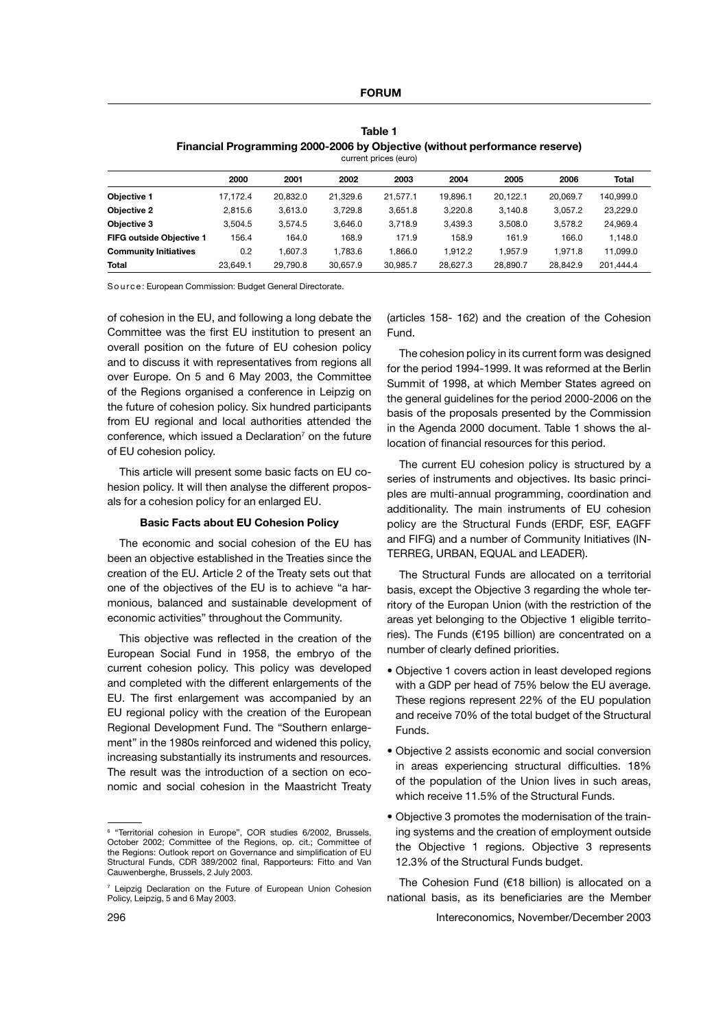### **FORUM**

| Table 1                                                                    |
|----------------------------------------------------------------------------|
| Financial Programming 2000-2006 by Obiective (without performance reserve) |
| current prices (euro)                                                      |

|                              | 2000     | 2001     | 2002     | 2003     | 2004     | 2005     | 2006     | <b>Total</b> |
|------------------------------|----------|----------|----------|----------|----------|----------|----------|--------------|
| <b>Objective 1</b>           | 17.172.4 | 20.832.0 | 21,329.6 | 21.577.1 | 19.896.1 | 20.122.1 | 20.069.7 | 140.999.0    |
| <b>Objective 2</b>           | 2.815.6  | 3.613.0  | 3.729.8  | 3.651.8  | 3.220.8  | 3.140.8  | 3.057.2  | 23,229.0     |
| Objective 3                  | 3.504.5  | 3.574.5  | 3.646.0  | 3.718.9  | 3.439.3  | 3.508.0  | 3.578.2  | 24.969.4     |
| FIFG outside Objective 1     | 156.4    | 164.0    | 168.9    | 171.9    | 158.9    | 161.9    | 166.0    | 1,148.0      |
| <b>Community Initiatives</b> | 0.2      | .607.3   | 1.783.6  | 1.866.0  | 1.912.2  | .957.9   | 1.971.8  | 11,099.0     |
| <b>Total</b>                 | 23.649.1 | 29.790.8 | 30.657.9 | 30.985.7 | 28.627.3 | 28.890.7 | 28.842.9 | 201.444.4    |

Source: European Commission: Budget General Directorate.

of cohesion in the EU, and following a long debate the Committee was the first EU institution to present an overall position on the future of EU cohesion policy and to discuss it with representatives from regions all over Europe. On 5 and 6 May 2003, the Committee of the Regions organised a conference in Leipzig on the future of cohesion policy. Six hundred participants from EU regional and local authorities attended the conference, which issued a Declaration $7$  on the future of EU cohesion policy.

This article will present some basic facts on EU cohesion policy. It will then analyse the different proposals for a cohesion policy for an enlarged EU.

#### **Basic Facts about EU Cohesion Policy**

The economic and social cohesion of the EU has been an objective established in the Treaties since the creation of the EU. Article 2 of the Treaty sets out that one of the objectives of the EU is to achieve "a harmonious, balanced and sustainable development of economic activities" throughout the Community.

This objective was reflected in the creation of the European Social Fund in 1958, the embryo of the current cohesion policy. This policy was developed and completed with the different enlargements of the EU. The first enlargement was accompanied by an EU regional policy with the creation of the European Regional Development Fund. The "Southern enlargement" in the 1980s reinforced and widened this policy, increasing substantially its instruments and resources. The result was the introduction of a section on economic and social cohesion in the Maastricht Treaty (articles 158- 162) and the creation of the Cohesion Fund.

The cohesion policy in its current form was designed for the period 1994-1999. It was reformed at the Berlin Summit of 1998, at which Member States agreed on the general guidelines for the period 2000-2006 on the basis of the proposals presented by the Commission in the Agenda 2000 document. Table 1 shows the allocation of financial resources for this period.

The current EU cohesion policy is structured by a series of instruments and objectives. Its basic principles are multi-annual programming, coordination and additionality. The main instruments of EU cohesion policy are the Structural Funds (ERDF, ESF, EAGFF and FIFG) and a number of Community Initiatives (IN-TERREG, URBAN, EQUAL and LEADER).

The Structural Funds are allocated on a territorial basis, except the Objective 3 regarding the whole territory of the Europan Union (with the restriction of the areas yet belonging to the Objective 1 eligible territories). The Funds (€195 billion) are concentrated on a number of clearly defined priorities.

- Objective 1 covers action in least developed regions with a GDP per head of 75% below the EU average. These regions represent 22% of the EU population and receive 70% of the total budget of the Structural Funds.
- Objective 2 assists economic and social conversion in areas experiencing structural difficulties. 18% of the population of the Union lives in such areas, which receive 11.5% of the Structural Funds.
- Objective 3 promotes the modernisation of the training systems and the creation of employment outside the Objective 1 regions. Objective 3 represents 12.3% of the Structural Funds budget.

The Cohesion Fund (€18 billion) is allocated on a national basis, as its beneficiaries are the Member

<sup>6</sup> "Territorial cohesion in Europe", COR studies 6/2002, Brussels, October 2002; Committee of the Regions, op. cit.; Committee of the Regions: Outlook report on Governance and simplification of EU Structural Funds, CDR 389/2002 final, Rapporteurs: Fitto and Van Cauwenberghe, Brussels, 2 July 2003.

<sup>&</sup>lt;sup>7</sup> Leipzig Declaration on the Future of European Union Cohesion Policy, Leipzig, 5 and 6 May 2003.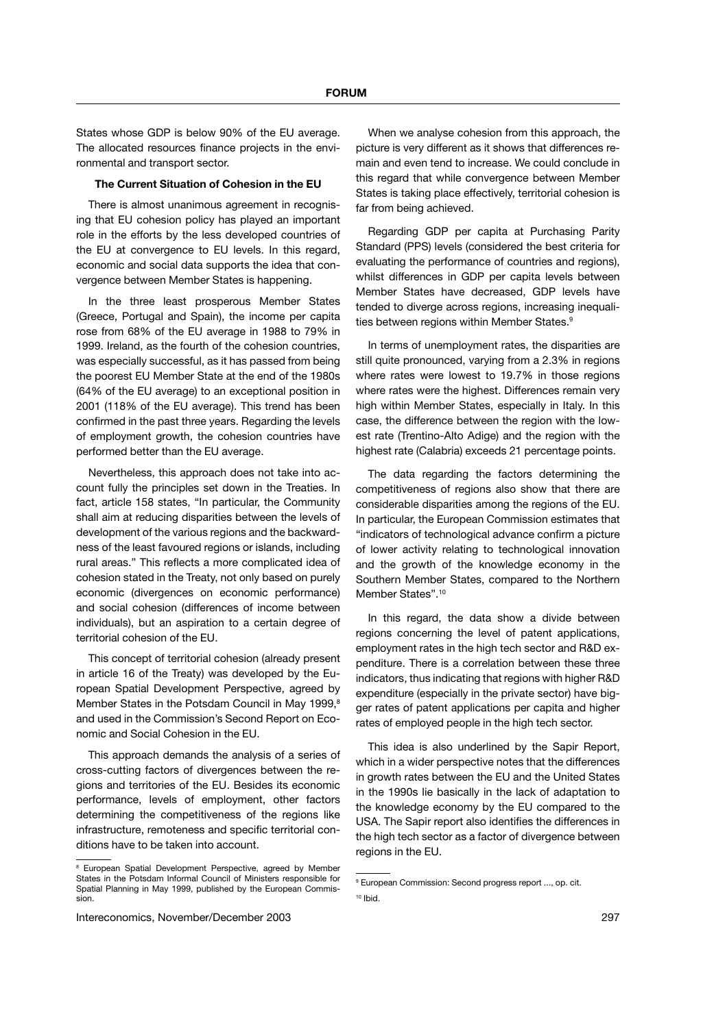States whose GDP is below 90% of the EU average. The allocated resources finance projects in the environmental and transport sector.

### **The Current Situation of Cohesion in the EU**

There is almost unanimous agreement in recognising that EU cohesion policy has played an important role in the efforts by the less developed countries of the EU at convergence to EU levels. In this regard, economic and social data supports the idea that convergence between Member States is happening.

In the three least prosperous Member States (Greece, Portugal and Spain), the income per capita rose from 68% of the EU average in 1988 to 79% in 1999. Ireland, as the fourth of the cohesion countries, was especially successful, as it has passed from being the poorest EU Member State at the end of the 1980s (64% of the EU average) to an exceptional position in 2001 (118% of the EU average). This trend has been confirmed in the past three years. Regarding the levels of employment growth, the cohesion countries have performed better than the EU average.

Nevertheless, this approach does not take into account fully the principles set down in the Treaties. In fact, article 158 states, "In particular, the Community shall aim at reducing disparities between the levels of development of the various regions and the backwardness of the least favoured regions or islands, including rural areas." This reflects a more complicated idea of cohesion stated in the Treaty, not only based on purely economic (divergences on economic performance) and social cohesion (differences of income between individuals), but an aspiration to a certain degree of territorial cohesion of the EU.

This concept of territorial cohesion (already present in article 16 of the Treaty) was developed by the European Spatial Development Perspective, agreed by Member States in the Potsdam Council in May 1999,<sup>8</sup> and used in the Commission's Second Report on Economic and Social Cohesion in the EU.

This approach demands the analysis of a series of cross-cutting factors of divergences between the regions and territories of the EU. Besides its economic performance, levels of employment, other factors determining the competitiveness of the regions like infrastructure, remoteness and specific territorial conditions have to be taken into account.

When we analyse cohesion from this approach, the picture is very different as it shows that differences remain and even tend to increase. We could conclude in this regard that while convergence between Member States is taking place effectively, territorial cohesion is far from being achieved.

Regarding GDP per capita at Purchasing Parity Standard (PPS) levels (considered the best criteria for evaluating the performance of countries and regions), whilst differences in GDP per capita levels between Member States have decreased, GDP levels have tended to diverge across regions, increasing inequalities between regions within Member States.<sup>9</sup>

In terms of unemployment rates, the disparities are still quite pronounced, varying from a 2.3% in regions where rates were lowest to 19.7% in those regions where rates were the highest. Differences remain very high within Member States, especially in Italy. In this case, the difference between the region with the lowest rate (Trentino-Alto Adige) and the region with the highest rate (Calabria) exceeds 21 percentage points.

The data regarding the factors determining the competitiveness of regions also show that there are considerable disparities among the regions of the EU. In particular, the European Commission estimates that "indicators of technological advance confirm a picture of lower activity relating to technological innovation and the growth of the knowledge economy in the Southern Member States, compared to the Northern Member States".<sup>10</sup>

In this regard, the data show a divide between regions concerning the level of patent applications, employment rates in the high tech sector and R&D expenditure. There is a correlation between these three indicators, thus indicating that regions with higher R&D expenditure (especially in the private sector) have bigger rates of patent applications per capita and higher rates of employed people in the high tech sector.

This idea is also underlined by the Sapir Report, which in a wider perspective notes that the differences in growth rates between the EU and the United States in the 1990s lie basically in the lack of adaptation to the knowledge economy by the EU compared to the USA. The Sapir report also identifies the differences in the high tech sector as a factor of divergence between regions in the EU.

<sup>&</sup>lt;sup>8</sup> European Spatial Development Perspective, agreed by Member States in the Potsdam Informal Council of Ministers responsible for Spatial Planning in May 1999, published by the European Commission.

<sup>9</sup> European Commission: Second progress report ..., op. cit.

<sup>10</sup> Ibid.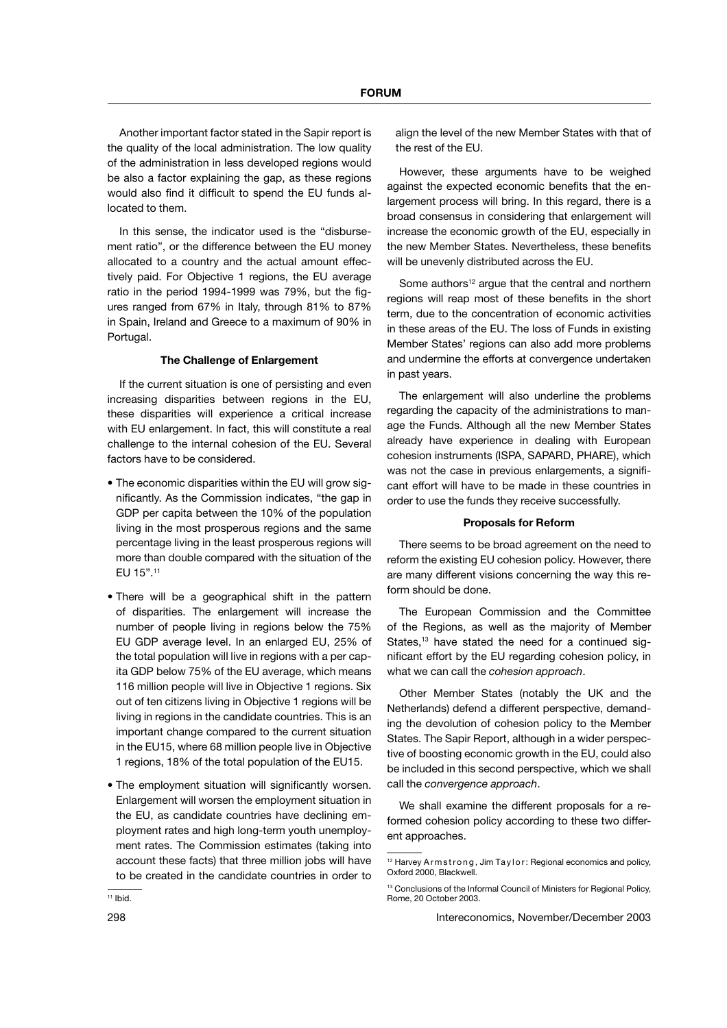Another important factor stated in the Sapir report is the quality of the local administration. The low quality of the administration in less developed regions would be also a factor explaining the gap, as these regions would also find it difficult to spend the EU funds allocated to them.

In this sense, the indicator used is the "disbursement ratio", or the difference between the EU money allocated to a country and the actual amount effectively paid. For Objective 1 regions, the EU average ratio in the period 1994-1999 was 79%, but the figures ranged from 67% in Italy, through 81% to 87% in Spain, Ireland and Greece to a maximum of 90% in Portugal.

## **The Challenge of Enlargement**

If the current situation is one of persisting and even increasing disparities between regions in the EU, these disparities will experience a critical increase with EU enlargement. In fact, this will constitute a real challenge to the internal cohesion of the EU. Several factors have to be considered.

- The economic disparities within the EU will grow significantly. As the Commission indicates, "the gap in GDP per capita between the 10% of the population living in the most prosperous regions and the same percentage living in the least prosperous regions will more than double compared with the situation of the EU 15".11
- There will be a geographical shift in the pattern of disparities. The enlargement will increase the number of people living in regions below the 75% EU GDP average level. In an enlarged EU, 25% of the total population will live in regions with a per capita GDP below 75% of the EU average, which means 116 million people will live in Objective 1 regions. Six out of ten citizens living in Objective 1 regions will be living in regions in the candidate countries. This is an important change compared to the current situation in the EU15, where 68 million people live in Objective 1 regions, 18% of the total population of the EU15.
- The employment situation will significantly worsen. Enlargement will worsen the employment situation in the EU, as candidate countries have declining employment rates and high long-term youth unemployment rates. The Commission estimates (taking into account these facts) that three million jobs will have to be created in the candidate countries in order to

align the level of the new Member States with that of the rest of the EU.

However, these arguments have to be weighed against the expected economic benefits that the enlargement process will bring. In this regard, there is a broad consensus in considering that enlargement will increase the economic growth of the EU, especially in the new Member States. Nevertheless, these benefits will be unevenly distributed across the EU.

Some authors<sup>12</sup> argue that the central and northern regions will reap most of these benefits in the short term, due to the concentration of economic activities in these areas of the EU. The loss of Funds in existing Member States' regions can also add more problems and undermine the efforts at convergence undertaken in past years.

The enlargement will also underline the problems regarding the capacity of the administrations to manage the Funds. Although all the new Member States already have experience in dealing with European cohesion instruments (ISPA, SAPARD, PHARE), which was not the case in previous enlargements, a significant effort will have to be made in these countries in order to use the funds they receive successfully.

#### **Proposals for Reform**

There seems to be broad agreement on the need to reform the existing EU cohesion policy. However, there are many different visions concerning the way this reform should be done.

The European Commission and the Committee of the Regions, as well as the majority of Member States.<sup>13</sup> have stated the need for a continued significant effort by the EU regarding cohesion policy, in what we can call the *cohesion approach*.

Other Member States (notably the UK and the Netherlands) defend a different perspective, demanding the devolution of cohesion policy to the Member States. The Sapir Report, although in a wider perspective of boosting economic growth in the EU, could also be included in this second perspective, which we shall call the *convergence approach*.

We shall examine the different proposals for a reformed cohesion policy according to these two different approaches.

 $12$  Harvey  $Armstrong$ , Jim Taylor: Regional economics and policy, Oxford 2000, Blackwell.

<sup>13</sup> Conclusions of the Informal Council of Ministers for Regional Policy, Rome, 20 October 2003.

 $11$  Ibid.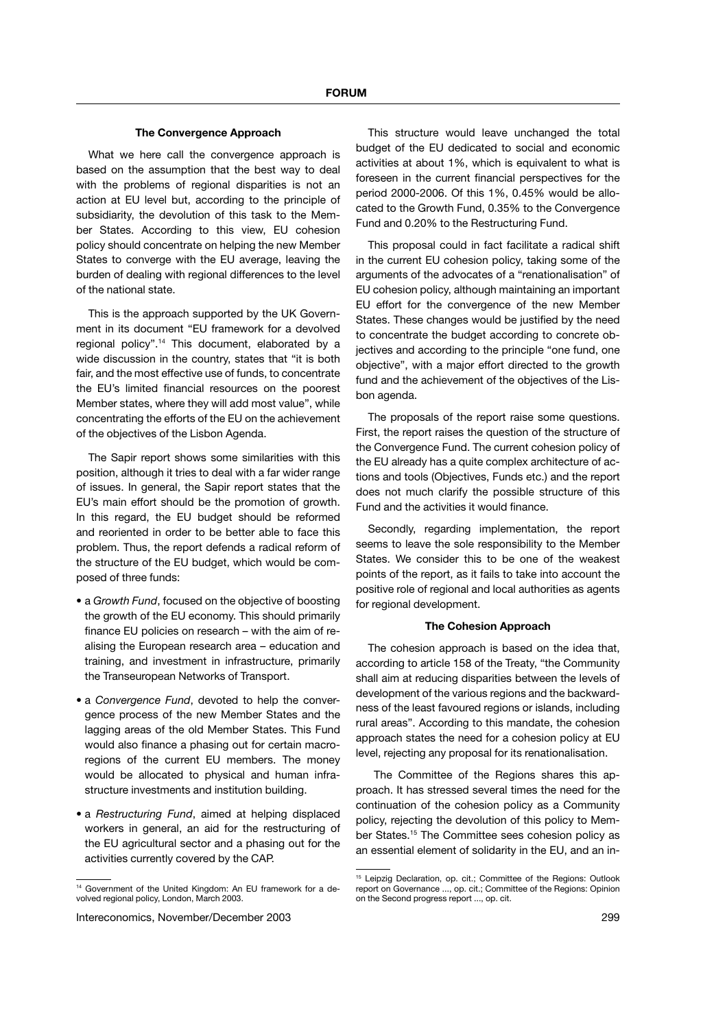#### **The Convergence Approach**

What we here call the convergence approach is based on the assumption that the best way to deal with the problems of regional disparities is not an action at EU level but, according to the principle of subsidiarity, the devolution of this task to the Member States. According to this view, EU cohesion policy should concentrate on helping the new Member States to converge with the EU average, leaving the burden of dealing with regional differences to the level of the national state.

This is the approach supported by the UK Government in its document "EU framework for a devolved regional policy".14 This document, elaborated by a wide discussion in the country, states that "it is both fair, and the most effective use of funds, to concentrate the EU's limited financial resources on the poorest Member states, where they will add most value", while concentrating the efforts of the EU on the achievement of the objectives of the Lisbon Agenda.

The Sapir report shows some similarities with this position, although it tries to deal with a far wider range of issues. In general, the Sapir report states that the EU's main effort should be the promotion of growth. In this regard, the EU budget should be reformed and reoriented in order to be better able to face this problem. Thus, the report defends a radical reform of the structure of the EU budget, which would be composed of three funds:

- a *Growth Fund*, focused on the objective of boosting the growth of the EU economy. This should primarily finance EU policies on research  $-$  with the aim of realising the European research area – education and training, and investment in infrastructure, primarily the Transeuropean Networks of Transport.
- a *Convergence Fund*, devoted to help the convergence process of the new Member States and the lagging areas of the old Member States. This Fund would also finance a phasing out for certain macroregions of the current EU members. The money would be allocated to physical and human infrastructure investments and institution building.
- a *Restructuring Fund*, aimed at helping displaced workers in general, an aid for the restructuring of the EU agricultural sector and a phasing out for the activities currently covered by the CAP.

Intereconomics, November/December 2003

This structure would leave unchanged the total budget of the EU dedicated to social and economic activities at about 1%, which is equivalent to what is foreseen in the current financial perspectives for the period 2000-2006. Of this 1%, 0.45% would be allocated to the Growth Fund, 0.35% to the Convergence Fund and 0.20% to the Restructuring Fund.

This proposal could in fact facilitate a radical shift in the current EU cohesion policy, taking some of the arguments of the advocates of a "renationalisation" of EU cohesion policy, although maintaining an important EU effort for the convergence of the new Member States. These changes would be justified by the need to concentrate the budget according to concrete objectives and according to the principle "one fund, one objective", with a major effort directed to the growth fund and the achievement of the objectives of the Lisbon agenda.

The proposals of the report raise some questions. First, the report raises the question of the structure of the Convergence Fund. The current cohesion policy of the EU already has a quite complex architecture of actions and tools (Objectives, Funds etc.) and the report does not much clarify the possible structure of this Fund and the activities it would finance.

Secondly, regarding implementation, the report seems to leave the sole responsibility to the Member States. We consider this to be one of the weakest points of the report, as it fails to take into account the positive role of regional and local authorities as agents for regional development.

#### **The Cohesion Approach**

The cohesion approach is based on the idea that, according to article 158 of the Treaty, "the Community shall aim at reducing disparities between the levels of development of the various regions and the backwardness of the least favoured regions or islands, including rural areas". According to this mandate, the cohesion approach states the need for a cohesion policy at EU level, rejecting any proposal for its renationalisation.

 The Committee of the Regions shares this approach. It has stressed several times the need for the continuation of the cohesion policy as a Community policy, rejecting the devolution of this policy to Member States.<sup>15</sup> The Committee sees cohesion policy as an essential element of solidarity in the EU, and an in-

<sup>14</sup> Government of the United Kingdom: An EU framework for a devolved regional policy, London, March 2003.

<sup>&</sup>lt;sup>15</sup> Leipzig Declaration, op. cit.; Committee of the Regions: Outlook report on Governance ..., op. cit.; Committee of the Regions: Opinion on the Second progress report ..., op. cit.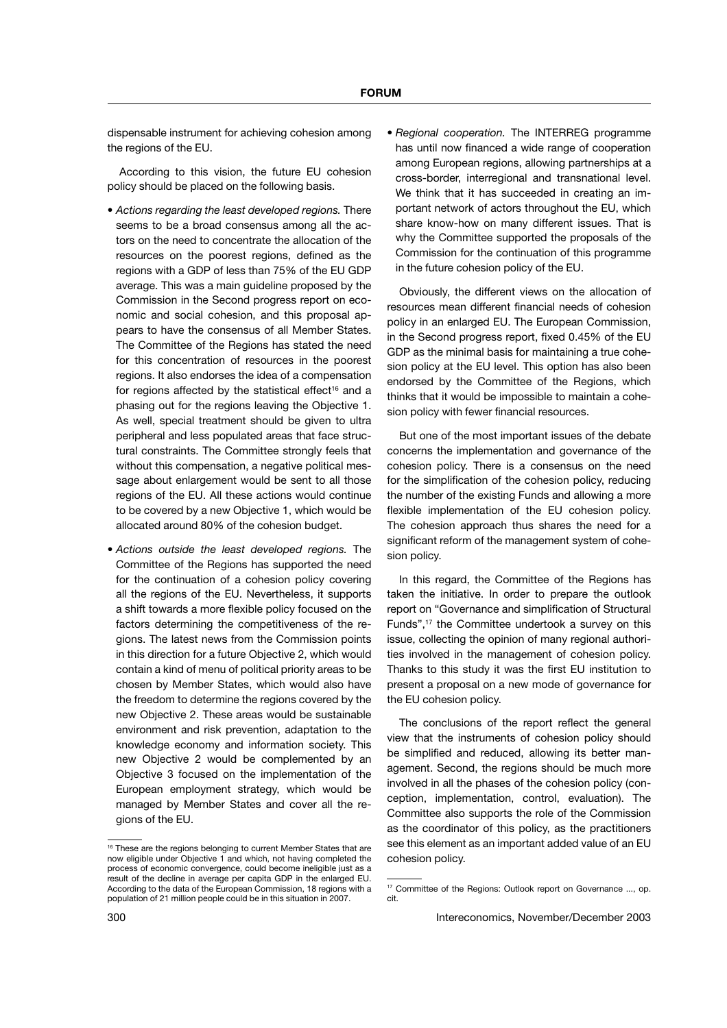dispensable instrument for achieving cohesion among the regions of the EU.

According to this vision, the future EU cohesion policy should be placed on the following basis.

- *Actions regarding the least developed regions.* There seems to be a broad consensus among all the actors on the need to concentrate the allocation of the resources on the poorest regions, defined as the regions with a GDP of less than 75% of the EU GDP average. This was a main guideline proposed by the Commission in the Second progress report on economic and social cohesion, and this proposal appears to have the consensus of all Member States. The Committee of the Regions has stated the need for this concentration of resources in the poorest regions. It also endorses the idea of a compensation for regions affected by the statistical effect<sup>16</sup> and a phasing out for the regions leaving the Objective 1. As well, special treatment should be given to ultra peripheral and less populated areas that face structural constraints. The Committee strongly feels that without this compensation, a negative political message about enlargement would be sent to all those regions of the EU. All these actions would continue to be covered by a new Objective 1, which would be allocated around 80% of the cohesion budget.
- *Actions outside the least developed regions.* The Committee of the Regions has supported the need for the continuation of a cohesion policy covering all the regions of the EU. Nevertheless, it supports a shift towards a more flexible policy focused on the factors determining the competitiveness of the regions. The latest news from the Commission points in this direction for a future Objective 2, which would contain a kind of menu of political priority areas to be chosen by Member States, which would also have the freedom to determine the regions covered by the new Objective 2. These areas would be sustainable environment and risk prevention, adaptation to the knowledge economy and information society. This new Objective 2 would be complemented by an Objective 3 focused on the implementation of the European employment strategy, which would be managed by Member States and cover all the regions of the EU.

• *Regional cooperation.* The INTERREG programme has until now financed a wide range of cooperation among European regions, allowing partnerships at a cross-border, interregional and transnational level. We think that it has succeeded in creating an important network of actors throughout the EU, which share know-how on many different issues. That is why the Committee supported the proposals of the Commission for the continuation of this programme in the future cohesion policy of the EU.

Obviously, the different views on the allocation of resources mean different financial needs of cohesion policy in an enlarged EU. The European Commission, in the Second progress report, fixed 0.45% of the EU GDP as the minimal basis for maintaining a true cohesion policy at the EU level. This option has also been endorsed by the Committee of the Regions, which thinks that it would be impossible to maintain a cohesion policy with fewer financial resources.

But one of the most important issues of the debate concerns the implementation and governance of the cohesion policy. There is a consensus on the need for the simplification of the cohesion policy, reducing the number of the existing Funds and allowing a more flexible implementation of the EU cohesion policy. The cohesion approach thus shares the need for a significant reform of the management system of cohesion policy.

In this regard, the Committee of the Regions has taken the initiative. In order to prepare the outlook report on "Governance and simplification of Structural Funds",17 the Committee undertook a survey on this issue, collecting the opinion of many regional authorities involved in the management of cohesion policy. Thanks to this study it was the first EU institution to present a proposal on a new mode of governance for the EU cohesion policy.

The conclusions of the report reflect the general view that the instruments of cohesion policy should be simplified and reduced, allowing its better management. Second, the regions should be much more involved in all the phases of the cohesion policy (conception, implementation, control, evaluation). The Committee also supports the role of the Commission as the coordinator of this policy, as the practitioners see this element as an important added value of an EU cohesion policy.

<sup>&</sup>lt;sup>16</sup> These are the regions belonging to current Member States that are now eligible under Objective 1 and which, not having completed the process of economic convergence, could become ineligible just as a result of the decline in average per capita GDP in the enlarged EU. According to the data of the European Commission, 18 regions with a population of 21 million people could be in this situation in 2007.

<sup>17</sup> Committee of the Regions: Outlook report on Governance ..., op. cit.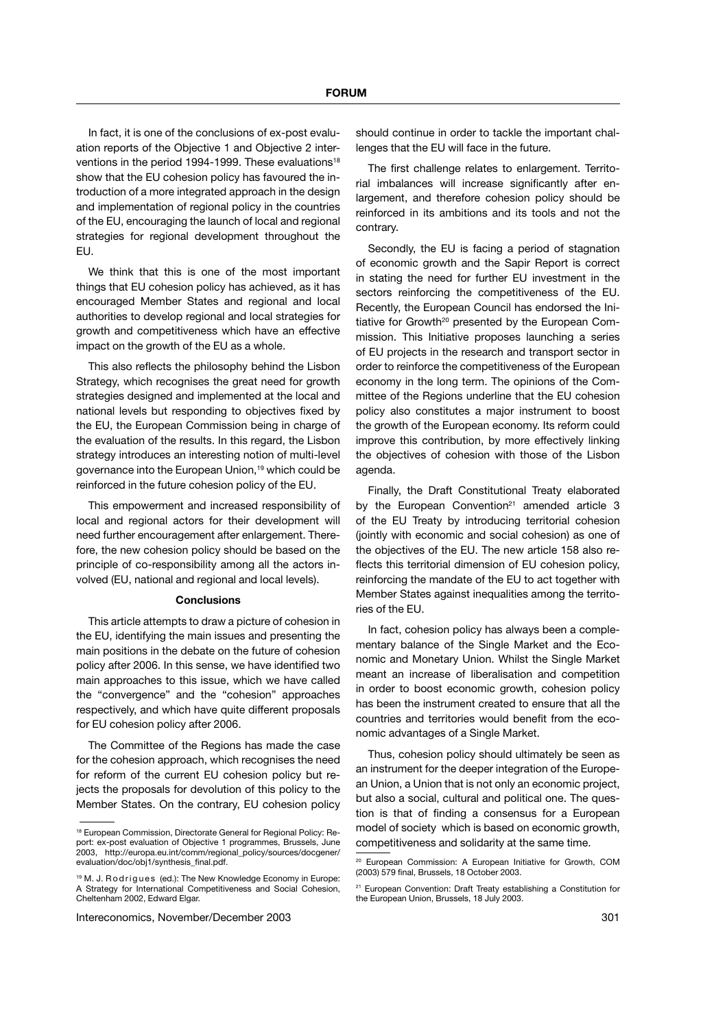In fact, it is one of the conclusions of ex-post evaluation reports of the Objective 1 and Objective 2 interventions in the period 1994-1999. These evaluations<sup>18</sup> show that the EU cohesion policy has favoured the introduction of a more integrated approach in the design and implementation of regional policy in the countries of the EU, encouraging the launch of local and regional strategies for regional development throughout the EU.

We think that this is one of the most important things that EU cohesion policy has achieved, as it has encouraged Member States and regional and local authorities to develop regional and local strategies for growth and competitiveness which have an effective impact on the growth of the EU as a whole.

This also reflects the philosophy behind the Lisbon Strategy, which recognises the great need for growth strategies designed and implemented at the local and national levels but responding to objectives fixed by the EU, the European Commission being in charge of the evaluation of the results. In this regard, the Lisbon strategy introduces an interesting notion of multi-level governance into the European Union,<sup>19</sup> which could be reinforced in the future cohesion policy of the EU.

This empowerment and increased responsibility of local and regional actors for their development will need further encouragement after enlargement. Therefore, the new cohesion policy should be based on the principle of co-responsibility among all the actors involved (EU, national and regional and local levels).

## **Conclusions**

This article attempts to draw a picture of cohesion in the EU, identifying the main issues and presenting the main positions in the debate on the future of cohesion policy after 2006. In this sense, we have identified two main approaches to this issue, which we have called the "convergence" and the "cohesion" approaches respectively, and which have quite different proposals for EU cohesion policy after 2006.

The Committee of the Regions has made the case for the cohesion approach, which recognises the need for reform of the current EU cohesion policy but rejects the proposals for devolution of this policy to the Member States. On the contrary, EU cohesion policy

Intereconomics, November/December 2003

should continue in order to tackle the important challenges that the EU will face in the future.

The first challenge relates to enlargement. Territorial imbalances will increase significantly after enlargement, and therefore cohesion policy should be reinforced in its ambitions and its tools and not the contrary.

Secondly, the EU is facing a period of stagnation of economic growth and the Sapir Report is correct in stating the need for further EU investment in the sectors reinforcing the competitiveness of the EU. Recently, the European Council has endorsed the Initiative for Growth<sup>20</sup> presented by the European Commission. This Initiative proposes launching a series of EU projects in the research and transport sector in order to reinforce the competitiveness of the European economy in the long term. The opinions of the Committee of the Regions underline that the EU cohesion policy also constitutes a major instrument to boost the growth of the European economy. Its reform could improve this contribution, by more effectively linking the objectives of cohesion with those of the Lisbon agenda.

Finally, the Draft Constitutional Treaty elaborated by the European Convention $21$  amended article 3 of the EU Treaty by introducing territorial cohesion (jointly with economic and social cohesion) as one of the objectives of the EU. The new article 158 also reflects this territorial dimension of EU cohesion policy, reinforcing the mandate of the EU to act together with Member States against inequalities among the territories of the EU.

In fact, cohesion policy has always been a complementary balance of the Single Market and the Economic and Monetary Union. Whilst the Single Market meant an increase of liberalisation and competition in order to boost economic growth, cohesion policy has been the instrument created to ensure that all the countries and territories would benefit from the economic advantages of a Single Market.

Thus, cohesion policy should ultimately be seen as an instrument for the deeper integration of the European Union, a Union that is not only an economic project, but also a social, cultural and political one. The question is that of finding a consensus for a European model of society which is based on economic growth, competitiveness and solidarity at the same time.

<sup>18</sup> European Commission, Directorate General for Regional Policy: Report: ex-post evaluation of Objective 1 programmes, Brussels, June 2003, http://europa.eu.int/comm/regional\_policy/sources/docgener/ evaluation/doc/obj1/synthesis\_final.pdf.

 $19 M$ . I. Rodrigues (ed.): The New Knowledge Economy in Europe: A Strategy for International Competitiveness and Social Cohesion, Cheltenham 2002, Edward Elgar.

<sup>20</sup> European Commission: A European Initiative for Growth, COM (2003) 579 final, Brussels, 18 October 2003.

<sup>21</sup> European Convention: Draft Treaty establishing a Constitution for the European Union, Brussels, 18 July 2003.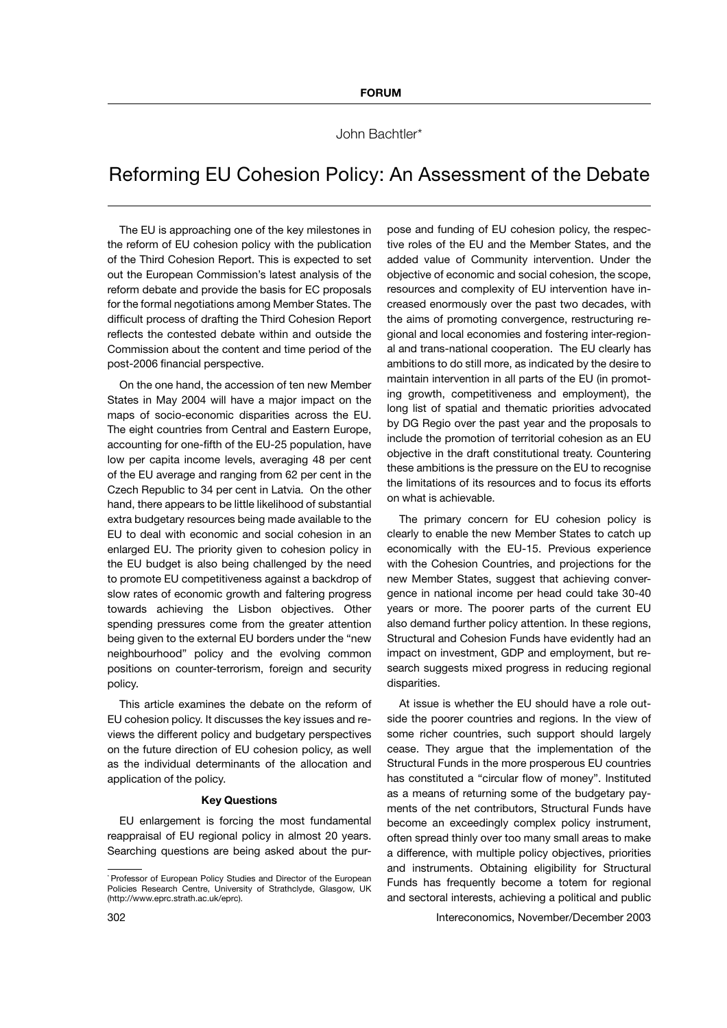## John Bachtler\*

## Reforming EU Cohesion Policy: An Assessment of the Debate

The EU is approaching one of the key milestones in the reform of EU cohesion policy with the publication of the Third Cohesion Report. This is expected to set out the European Commission's latest analysis of the reform debate and provide the basis for EC proposals for the formal negotiations among Member States. The difficult process of drafting the Third Cohesion Report reflects the contested debate within and outside the Commission about the content and time period of the post-2006 financial perspective.

On the one hand, the accession of ten new Member States in May 2004 will have a major impact on the maps of socio-economic disparities across the EU. The eight countries from Central and Eastern Europe, accounting for one-fifth of the EU-25 population, have low per capita income levels, averaging 48 per cent of the EU average and ranging from 62 per cent in the Czech Republic to 34 per cent in Latvia. On the other hand, there appears to be little likelihood of substantial extra budgetary resources being made available to the EU to deal with economic and social cohesion in an enlarged EU. The priority given to cohesion policy in the EU budget is also being challenged by the need to promote EU competitiveness against a backdrop of slow rates of economic growth and faltering progress towards achieving the Lisbon objectives. Other spending pressures come from the greater attention being given to the external EU borders under the "new neighbourhood" policy and the evolving common positions on counter-terrorism, foreign and security policy.

This article examines the debate on the reform of EU cohesion policy. It discusses the key issues and reviews the different policy and budgetary perspectives on the future direction of EU cohesion policy, as well as the individual determinants of the allocation and application of the policy.

## **Key Questions**

EU enlargement is forcing the most fundamental reappraisal of EU regional policy in almost 20 years. Searching questions are being asked about the pur-

pose and funding of EU cohesion policy, the respective roles of the EU and the Member States, and the added value of Community intervention. Under the objective of economic and social cohesion, the scope, resources and complexity of EU intervention have increased enormously over the past two decades, with the aims of promoting convergence, restructuring regional and local economies and fostering inter-regional and trans-national cooperation. The EU clearly has ambitions to do still more, as indicated by the desire to maintain intervention in all parts of the EU (in promoting growth, competitiveness and employment), the long list of spatial and thematic priorities advocated by DG Regio over the past year and the proposals to include the promotion of territorial cohesion as an EU objective in the draft constitutional treaty. Countering these ambitions is the pressure on the EU to recognise the limitations of its resources and to focus its efforts on what is achievable.

The primary concern for EU cohesion policy is clearly to enable the new Member States to catch up economically with the EU-15. Previous experience with the Cohesion Countries, and projections for the new Member States, suggest that achieving convergence in national income per head could take 30-40 years or more. The poorer parts of the current EU also demand further policy attention. In these regions, Structural and Cohesion Funds have evidently had an impact on investment, GDP and employment, but research suggests mixed progress in reducing regional disparities.

At issue is whether the EU should have a role outside the poorer countries and regions. In the view of some richer countries, such support should largely cease. They argue that the implementation of the Structural Funds in the more prosperous EU countries has constituted a "circular flow of money". Instituted as a means of returning some of the budgetary payments of the net contributors, Structural Funds have become an exceedingly complex policy instrument, often spread thinly over too many small areas to make a difference, with multiple policy objectives, priorities and instruments. Obtaining eligibility for Structural Funds has frequently become a totem for regional and sectoral interests, achieving a political and public

<sup>\*</sup> Professor of European Policy Studies and Director of the European Policies Research Centre, University of Strathclyde, Glasgow, UK (http://www.eprc.strath.ac.uk/eprc).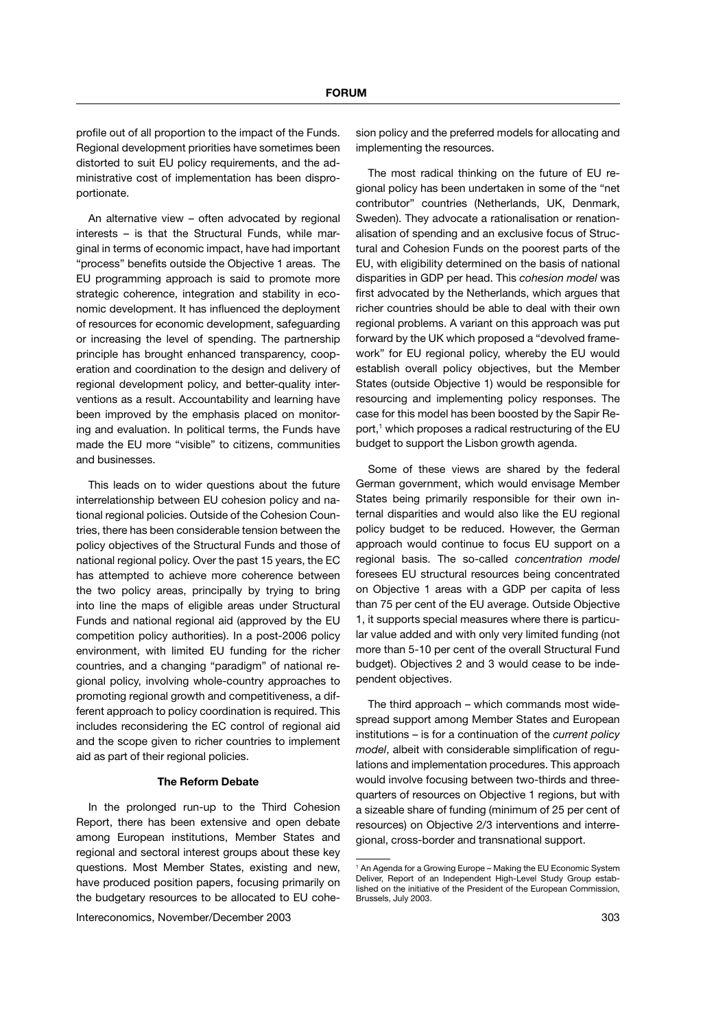profile out of all proportion to the impact of the Funds. Regional development priorities have sometimes been distorted to suit EU policy requirements, and the administrative cost of implementation has been disproportionate.

An alternative view – often advocated by regional interests – is that the Structural Funds, while marginal in terms of economic impact, have had important "process" benefits outside the Objective 1 areas. The EU programming approach is said to promote more strategic coherence, integration and stability in economic development. It has influenced the deployment of resources for economic development, safeguarding or increasing the level of spending. The partnership principle has brought enhanced transparency, cooperation and coordination to the design and delivery of regional development policy, and better-quality interventions as a result. Accountability and learning have been improved by the emphasis placed on monitoring and evaluation. In political terms, the Funds have made the EU more "visible" to citizens, communities and businesses.

This leads on to wider questions about the future interrelationship between EU cohesion policy and national regional policies. Outside of the Cohesion Countries, there has been considerable tension between the policy objectives of the Structural Funds and those of national regional policy. Over the past 15 years, the EC has attempted to achieve more coherence between the two policy areas, principally by trying to bring into line the maps of eligible areas under Structural Funds and national regional aid (approved by the EU competition policy authorities). In a post-2006 policy environment, with limited EU funding for the richer countries, and a changing "paradigm" of national regional policy, involving whole-country approaches to promoting regional growth and competitiveness, a different approach to policy coordination is required. This includes reconsidering the EC control of regional aid and the scope given to richer countries to implement aid as part of their regional policies.

## **The Reform Debate**

In the prolonged run-up to the Third Cohesion Report, there has been extensive and open debate among European institutions, Member States and regional and sectoral interest groups about these key questions. Most Member States, existing and new, have produced position papers, focusing primarily on the budgetary resources to be allocated to EU cohe-

Intereconomics, November/December 2003

sion policy and the preferred models for allocating and implementing the resources.

The most radical thinking on the future of EU regional policy has been undertaken in some of the "net contributor" countries (Netherlands, UK, Denmark, Sweden). They advocate a rationalisation or renationalisation of spending and an exclusive focus of Structural and Cohesion Funds on the poorest parts of the EU, with eligibility determined on the basis of national disparities in GDP per head. This *cohesion model* was first advocated by the Netherlands, which argues that richer countries should be able to deal with their own regional problems. A variant on this approach was put forward by the UK which proposed a "devolved framework" for EU regional policy, whereby the EU would establish overall policy objectives, but the Member States (outside Objective 1) would be responsible for resourcing and implementing policy responses. The case for this model has been boosted by the Sapir Report,<sup>1</sup> which proposes a radical restructuring of the EU budget to support the Lisbon growth agenda.

Some of these views are shared by the federal German government, which would envisage Member States being primarily responsible for their own internal disparities and would also like the EU regional policy budget to be reduced. However, the German approach would continue to focus EU support on a regional basis. The so-called *concentration model*  foresees EU structural resources being concentrated on Objective 1 areas with a GDP per capita of less than 75 per cent of the EU average. Outside Objective 1, it supports special measures where there is particular value added and with only very limited funding (not more than 5-10 per cent of the overall Structural Fund budget). Objectives 2 and 3 would cease to be independent objectives.

The third approach – which commands most widespread support among Member States and European institutions – is for a continuation of the *current policy model*, albeit with considerable simplification of regulations and implementation procedures. This approach would involve focusing between two-thirds and threequarters of resources on Objective 1 regions, but with a sizeable share of funding (minimum of 25 per cent of resources) on Objective 2/3 interventions and interregional, cross-border and transnational support.

<sup>1</sup> An Agenda for a Growing Europe – Making the EU Economic System Deliver, Report of an Independent High-Level Study Group established on the initiative of the President of the European Commission, Brussels, July 2003.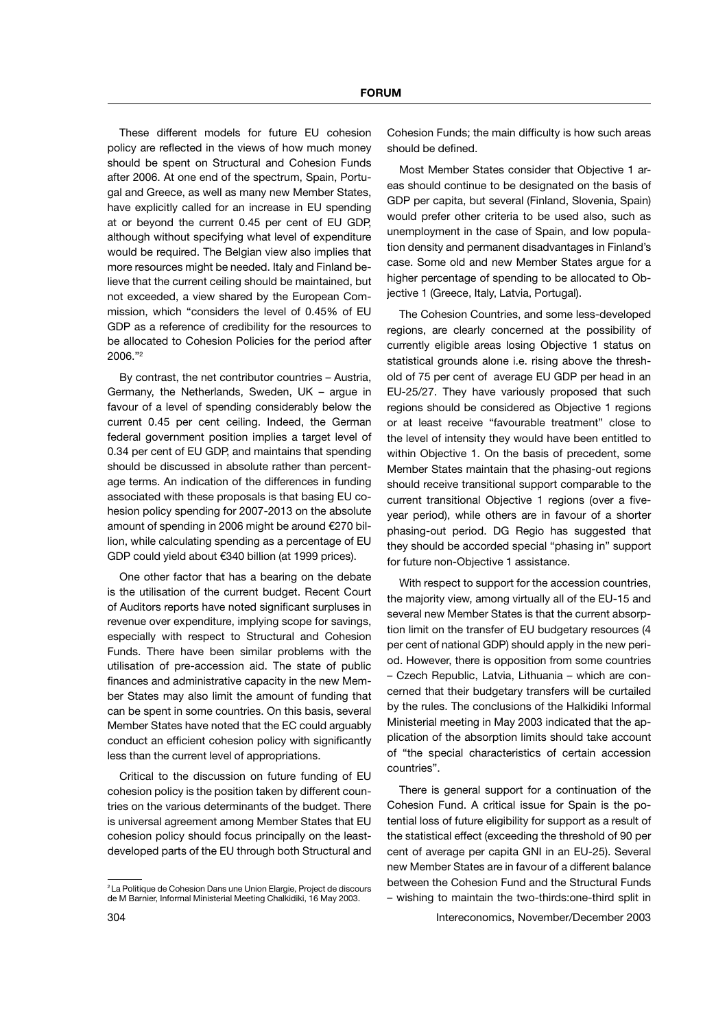These different models for future EU cohesion policy are reflected in the views of how much monev should be spent on Structural and Cohesion Funds after 2006. At one end of the spectrum, Spain, Portugal and Greece, as well as many new Member States, have explicitly called for an increase in EU spending at or beyond the current 0.45 per cent of EU GDP, although without specifying what level of expenditure would be required. The Belgian view also implies that more resources might be needed. Italy and Finland believe that the current ceiling should be maintained, but not exceeded, a view shared by the European Commission, which "considers the level of 0.45% of EU GDP as a reference of credibility for the resources to be allocated to Cohesion Policies for the period after 2006."2

By contrast, the net contributor countries – Austria, Germany, the Netherlands, Sweden, UK – argue in favour of a level of spending considerably below the current 0.45 per cent ceiling. Indeed, the German federal government position implies a target level of 0.34 per cent of EU GDP, and maintains that spending should be discussed in absolute rather than percentage terms. An indication of the differences in funding associated with these proposals is that basing EU cohesion policy spending for 2007-2013 on the absolute amount of spending in 2006 might be around €270 billion, while calculating spending as a percentage of EU GDP could yield about €340 billion (at 1999 prices).

One other factor that has a bearing on the debate is the utilisation of the current budget. Recent Court of Auditors reports have noted significant surpluses in revenue over expenditure, implying scope for savings, especially with respect to Structural and Cohesion Funds. There have been similar problems with the utilisation of pre-accession aid. The state of public finances and administrative capacity in the new Member States may also limit the amount of funding that can be spent in some countries. On this basis, several Member States have noted that the EC could arguably conduct an efficient cohesion policy with significantly less than the current level of appropriations.

Critical to the discussion on future funding of EU cohesion policy is the position taken by different countries on the various determinants of the budget. There is universal agreement among Member States that EU cohesion policy should focus principally on the leastdeveloped parts of the EU through both Structural and

2 La Politique de Cohesion Dans une Union Elargie, Project de discours de M Barnier, Informal Ministerial Meeting Chalkidiki, 16 May 2003.

Cohesion Funds; the main difficulty is how such areas should be defined.

Most Member States consider that Objective 1 areas should continue to be designated on the basis of GDP per capita, but several (Finland, Slovenia, Spain) would prefer other criteria to be used also, such as unemployment in the case of Spain, and low population density and permanent disadvantages in Finland's case. Some old and new Member States argue for a higher percentage of spending to be allocated to Objective 1 (Greece, Italy, Latvia, Portugal).

The Cohesion Countries, and some less-developed regions, are clearly concerned at the possibility of currently eligible areas losing Objective 1 status on statistical grounds alone i.e. rising above the threshold of 75 per cent of average EU GDP per head in an EU-25/27. They have variously proposed that such regions should be considered as Objective 1 regions or at least receive "favourable treatment" close to the level of intensity they would have been entitled to within Objective 1. On the basis of precedent, some Member States maintain that the phasing-out regions should receive transitional support comparable to the current transitional Objective 1 regions (over a fiveyear period), while others are in favour of a shorter phasing-out period. DG Regio has suggested that they should be accorded special "phasing in" support for future non-Objective 1 assistance.

With respect to support for the accession countries, the majority view, among virtually all of the EU-15 and several new Member States is that the current absorption limit on the transfer of EU budgetary resources (4 per cent of national GDP) should apply in the new period. However, there is opposition from some countries – Czech Republic, Latvia, Lithuania – which are concerned that their budgetary transfers will be curtailed by the rules. The conclusions of the Halkidiki Informal Ministerial meeting in May 2003 indicated that the application of the absorption limits should take account of "the special characteristics of certain accession countries".

There is general support for a continuation of the Cohesion Fund. A critical issue for Spain is the potential loss of future eligibility for support as a result of the statistical effect (exceeding the threshold of 90 per cent of average per capita GNI in an EU-25). Several new Member States are in favour of a different balance between the Cohesion Fund and the Structural Funds – wishing to maintain the two-thirds:one-third split in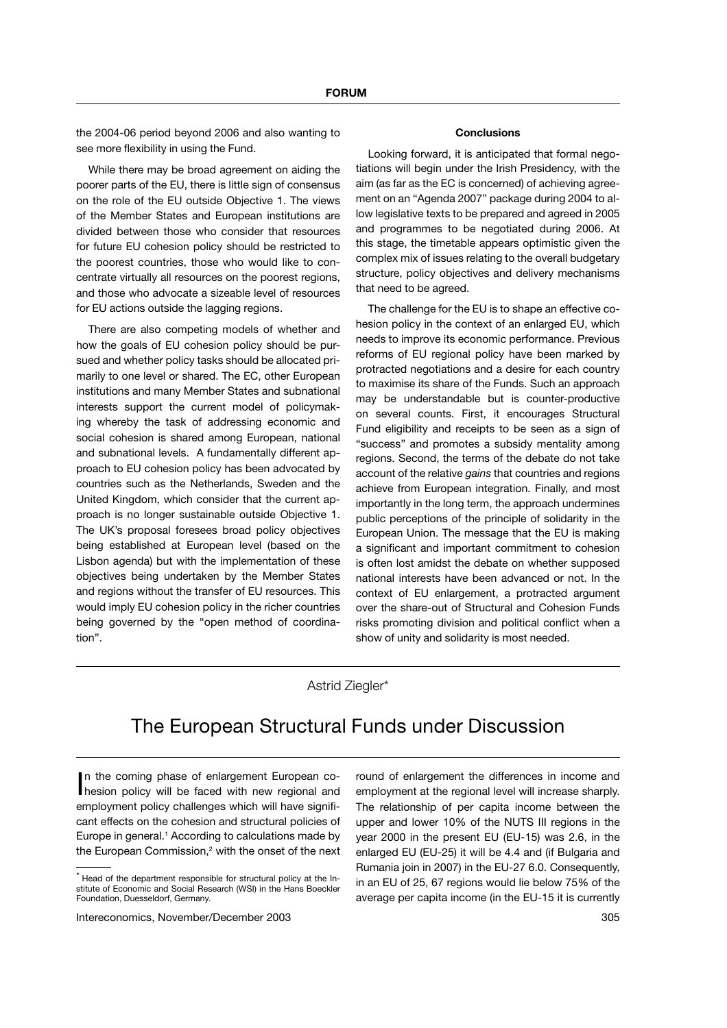the 2004-06 period beyond 2006 and also wanting to see more flexibility in using the Fund.

While there may be broad agreement on aiding the poorer parts of the EU, there is little sign of consensus on the role of the EU outside Objective 1. The views of the Member States and European institutions are divided between those who consider that resources for future EU cohesion policy should be restricted to the poorest countries, those who would like to concentrate virtually all resources on the poorest regions, and those who advocate a sizeable level of resources for EU actions outside the lagging regions.

There are also competing models of whether and how the goals of EU cohesion policy should be pursued and whether policy tasks should be allocated primarily to one level or shared. The EC, other European institutions and many Member States and subnational interests support the current model of policymaking whereby the task of addressing economic and social cohesion is shared among European, national and subnational levels. A fundamentally different approach to EU cohesion policy has been advocated by countries such as the Netherlands, Sweden and the United Kingdom, which consider that the current approach is no longer sustainable outside Objective 1. The UK's proposal foresees broad policy objectives being established at European level (based on the Lisbon agenda) but with the implementation of these objectives being undertaken by the Member States and regions without the transfer of EU resources. This would imply EU cohesion policy in the richer countries being governed by the "open method of coordination".

#### **Conclusions**

Looking forward, it is anticipated that formal negotiations will begin under the Irish Presidency, with the aim (as far as the EC is concerned) of achieving agreement on an "Agenda 2007" package during 2004 to allow legislative texts to be prepared and agreed in 2005 and programmes to be negotiated during 2006. At this stage, the timetable appears optimistic given the complex mix of issues relating to the overall budgetary structure, policy objectives and delivery mechanisms that need to be agreed.

The challenge for the EU is to shape an effective cohesion policy in the context of an enlarged EU, which needs to improve its economic performance. Previous reforms of EU regional policy have been marked by protracted negotiations and a desire for each country to maximise its share of the Funds. Such an approach may be understandable but is counter-productive on several counts. First, it encourages Structural Fund eligibility and receipts to be seen as a sign of "success" and promotes a subsidy mentality among regions. Second, the terms of the debate do not take account of the relative *gains* that countries and regions achieve from European integration. Finally, and most importantly in the long term, the approach undermines public perceptions of the principle of solidarity in the European Union. The message that the EU is making a significant and important commitment to cohesion is often lost amidst the debate on whether supposed national interests have been advanced or not. In the context of EU enlargement, a protracted argument over the share-out of Structural and Cohesion Funds risks promoting division and political conflict when a show of unity and solidarity is most needed.

## Astrid Ziegler\*

## The European Structural Funds under Discussion

In the coming phase of enlargement European co-<br>hesion policy will be faced with new regional and hesion policy will be faced with new regional and employment policy challenges which will have significant effects on the cohesion and structural policies of Europe in general.<sup>1</sup> According to calculations made by the European Commission,<sup>2</sup> with the onset of the next

Intereconomics, November/December 2003

round of enlargement the differences in income and employment at the regional level will increase sharply. The relationship of per capita income between the upper and lower 10% of the NUTS III regions in the year 2000 in the present EU (EU-15) was 2.6, in the enlarged EU (EU-25) it will be 4.4 and (if Bulgaria and Rumania join in 2007) in the EU-27 6.0. Consequently, in an EU of 25, 67 regions would lie below 75% of the average per capita income (in the EU-15 it is currently

 $\mathrm{^{4}}$  Head of the department responsible for structural policy at the Institute of Economic and Social Research (WSI) in the Hans Boeckler Foundation, Duesseldorf, Germany.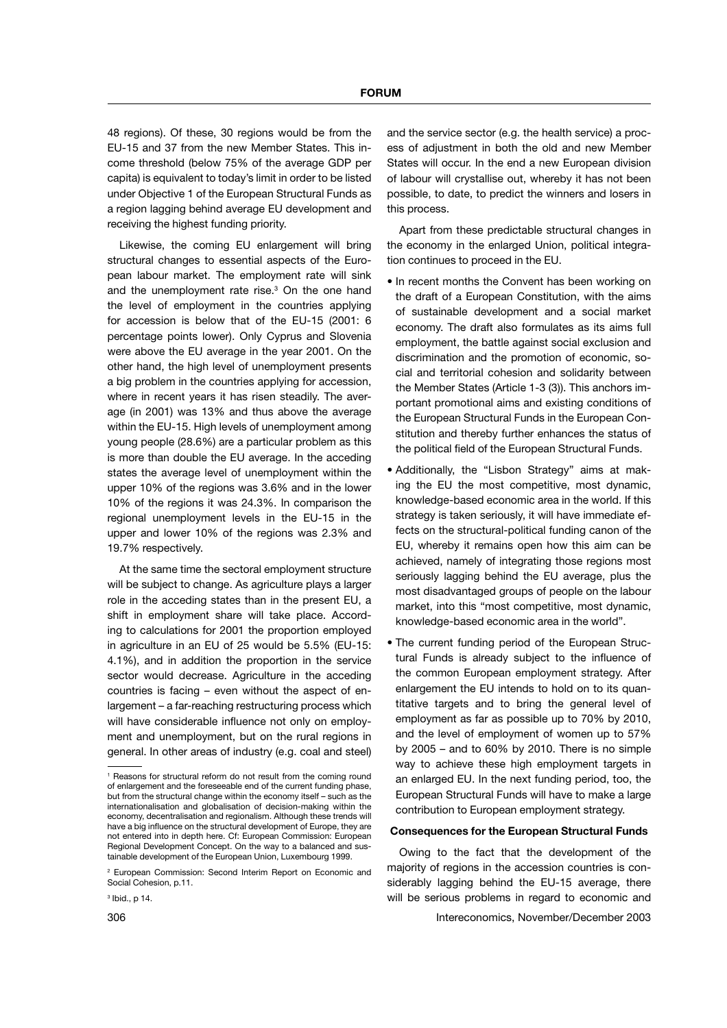48 regions). Of these, 30 regions would be from the EU-15 and 37 from the new Member States. This income threshold (below 75% of the average GDP per capita) is equivalent to today's limit in order to be listed under Objective 1 of the European Structural Funds as a region lagging behind average EU development and receiving the highest funding priority.

Likewise, the coming EU enlargement will bring structural changes to essential aspects of the European labour market. The employment rate will sink and the unemployment rate rise.<sup>3</sup> On the one hand the level of employment in the countries applying for accession is below that of the EU-15 (2001: 6 percentage points lower). Only Cyprus and Slovenia were above the EU average in the year 2001. On the other hand, the high level of unemployment presents a big problem in the countries applying for accession, where in recent years it has risen steadily. The average (in 2001) was 13% and thus above the average within the EU-15. High levels of unemployment among young people (28.6%) are a particular problem as this is more than double the EU average. In the acceding states the average level of unemployment within the upper 10% of the regions was 3.6% and in the lower 10% of the regions it was 24.3%. In comparison the regional unemployment levels in the EU-15 in the upper and lower 10% of the regions was 2.3% and 19.7% respectively.

At the same time the sectoral employment structure will be subject to change. As agriculture plays a larger role in the acceding states than in the present EU, a shift in employment share will take place. According to calculations for 2001 the proportion employed in agriculture in an EU of 25 would be 5.5% (EU-15: 4.1%), and in addition the proportion in the service sector would decrease. Agriculture in the acceding countries is facing – even without the aspect of enlargement – a far-reaching restructuring process which will have considerable influence not only on employment and unemployment, but on the rural regions in general. In other areas of industry (e.g. coal and steel)

and the service sector (e.g. the health service) a process of adjustment in both the old and new Member States will occur. In the end a new European division of labour will crystallise out, whereby it has not been possible, to date, to predict the winners and losers in this process.

Apart from these predictable structural changes in the economy in the enlarged Union, political integration continues to proceed in the EU.

- In recent months the Convent has been working on the draft of a European Constitution, with the aims of sustainable development and a social market economy. The draft also formulates as its aims full employment, the battle against social exclusion and discrimination and the promotion of economic, social and territorial cohesion and solidarity between the Member States (Article 1-3 (3)). This anchors important promotional aims and existing conditions of the European Structural Funds in the European Constitution and thereby further enhances the status of the political field of the European Structural Funds.
- Additionally, the "Lisbon Strategy" aims at making the EU the most competitive, most dynamic, knowledge-based economic area in the world. If this strategy is taken seriously, it will have immediate effects on the structural-political funding canon of the EU, whereby it remains open how this aim can be achieved, namely of integrating those regions most seriously lagging behind the EU average, plus the most disadvantaged groups of people on the labour market, into this "most competitive, most dynamic, knowledge-based economic area in the world".
- The current funding period of the European Structural Funds is already subject to the influence of the common European employment strategy. After enlargement the EU intends to hold on to its quantitative targets and to bring the general level of employment as far as possible up to 70% by 2010, and the level of employment of women up to 57% by 2005 – and to 60% by 2010. There is no simple way to achieve these high employment targets in an enlarged EU. In the next funding period, too, the European Structural Funds will have to make a large contribution to European employment strategy.

#### **Consequences for the European Structural Funds**

Owing to the fact that the development of the majority of regions in the accession countries is considerably lagging behind the EU-15 average, there will be serious problems in regard to economic and

 $^3$  lbid., p 14.

<sup>&</sup>lt;sup>1</sup> Reasons for structural reform do not result from the coming round of enlargement and the foreseeable end of the current funding phase, but from the structural change within the economy itself – such as the internationalisation and globalisation of decision-making within the economy, decentralisation and regionalism. Although these trends will have a big influence on the structural development of Europe, they are not entered into in depth here. Cf: European Commission: European Regional Development Concept. On the way to a balanced and sustainable development of the European Union, Luxembourg 1999.

<sup>2</sup> European Commission: Second Interim Report on Economic and Social Cohesion, p.11.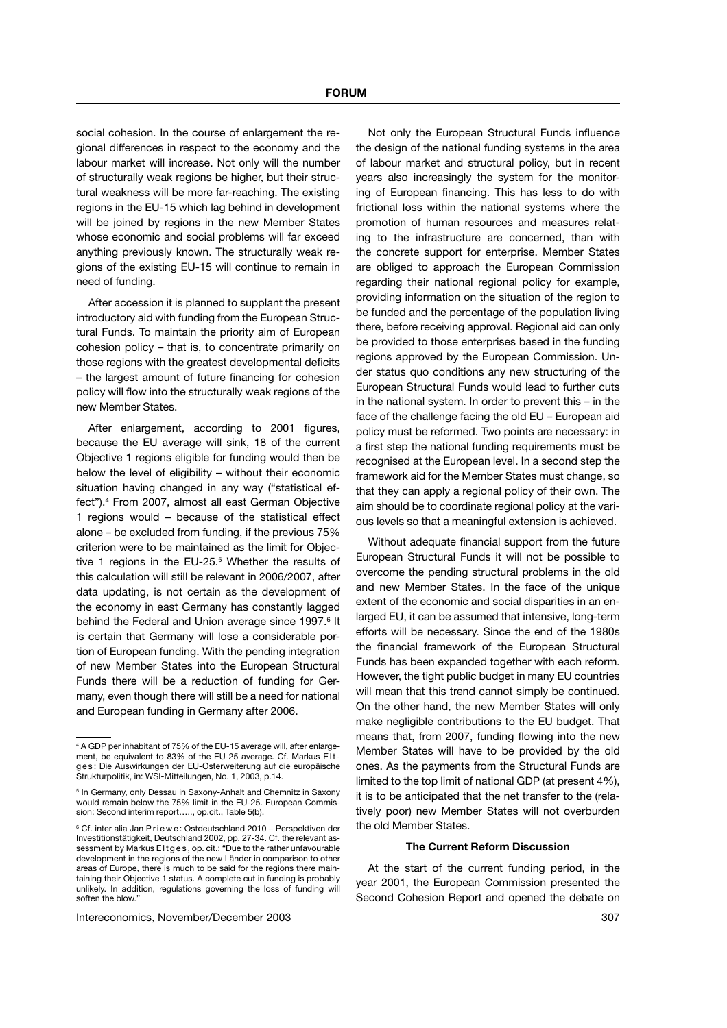social cohesion. In the course of enlargement the regional differences in respect to the economy and the labour market will increase. Not only will the number of structurally weak regions be higher, but their structural weakness will be more far-reaching. The existing regions in the EU-15 which lag behind in development will be joined by regions in the new Member States whose economic and social problems will far exceed anything previously known. The structurally weak regions of the existing EU-15 will continue to remain in need of funding.

After accession it is planned to supplant the present introductory aid with funding from the European Structural Funds. To maintain the priority aim of European cohesion policy – that is, to concentrate primarily on those regions with the greatest developmental deficits – the largest amount of future financing for cohesion policy will flow into the structurally weak regions of the new Member States.

After enlargement, according to 2001 figures, because the EU average will sink, 18 of the current Objective 1 regions eligible for funding would then be below the level of eligibility – without their economic situation having changed in any way ("statistical effect").4 From 2007, almost all east German Objective 1 regions would – because of the statistical effect alone – be excluded from funding, if the previous 75% criterion were to be maintained as the limit for Objective 1 regions in the EU-25.<sup>5</sup> Whether the results of this calculation will still be relevant in 2006/2007, after data updating, is not certain as the development of the economy in east Germany has constantly lagged behind the Federal and Union average since 1997.<sup>6</sup> It is certain that Germany will lose a considerable portion of European funding. With the pending integration of new Member States into the European Structural Funds there will be a reduction of funding for Germany, even though there will still be a need for national and European funding in Germany after 2006.

Intereconomics, November/December 2003

Not only the European Structural Funds influence the design of the national funding systems in the area of labour market and structural policy, but in recent years also increasingly the system for the monitoring of European financing. This has less to do with frictional loss within the national systems where the promotion of human resources and measures relating to the infrastructure are concerned, than with the concrete support for enterprise. Member States are obliged to approach the European Commission regarding their national regional policy for example, providing information on the situation of the region to be funded and the percentage of the population living there, before receiving approval. Regional aid can only be provided to those enterprises based in the funding regions approved by the European Commission. Under status quo conditions any new structuring of the European Structural Funds would lead to further cuts in the national system. In order to prevent this – in the face of the challenge facing the old EU – European aid policy must be reformed. Two points are necessary: in a first step the national funding requirements must be recognised at the European level. In a second step the framework aid for the Member States must change, so that they can apply a regional policy of their own. The aim should be to coordinate regional policy at the various levels so that a meaningful extension is achieved.

Without adequate financial support from the future European Structural Funds it will not be possible to overcome the pending structural problems in the old and new Member States. In the face of the unique extent of the economic and social disparities in an enlarged EU, it can be assumed that intensive, long-term efforts will be necessary. Since the end of the 1980s the financial framework of the European Structural Funds has been expanded together with each reform. However, the tight public budget in many EU countries will mean that this trend cannot simply be continued. On the other hand, the new Member States will only make negligible contributions to the EU budget. That means that, from 2007, funding flowing into the new Member States will have to be provided by the old ones. As the payments from the Structural Funds are limited to the top limit of national GDP (at present 4%), it is to be anticipated that the net transfer to the (relatively poor) new Member States will not overburden the old Member States.

### **The Current Reform Discussion**

At the start of the current funding period, in the year 2001, the European Commission presented the Second Cohesion Report and opened the debate on

<sup>4</sup> A GDP per inhabitant of 75% of the EU-15 average will, after enlargement, be equivalent to 83% of the EU-25 average. Cf. Markus Eltg e s : Die Auswirkungen der EU-Osterweiterung auf die europäische Strukturpolitik, in: WSI-Mitteilungen, No. 1, 2003, p.14.

<sup>5</sup> In Germany, only Dessau in Saxony-Anhalt and Chemnitz in Saxony would remain below the 75% limit in the EU-25. European Commission: Second interim report….., op.cit., Table 5(b).

<sup>6</sup> Cf. inter alia Jan Pr i e w e : Ostdeutschland 2010 – Perspektiven der Investitionstätigkeit, Deutschland 2002, pp. 27-34. Cf. the relevant assessment by Markus Eltges, op. cit.: "Due to the rather unfavourable development in the regions of the new Länder in comparison to other areas of Europe, there is much to be said for the regions there maintaining their Objective 1 status. A complete cut in funding is probably unlikely. In addition, regulations governing the loss of funding will soften the blow."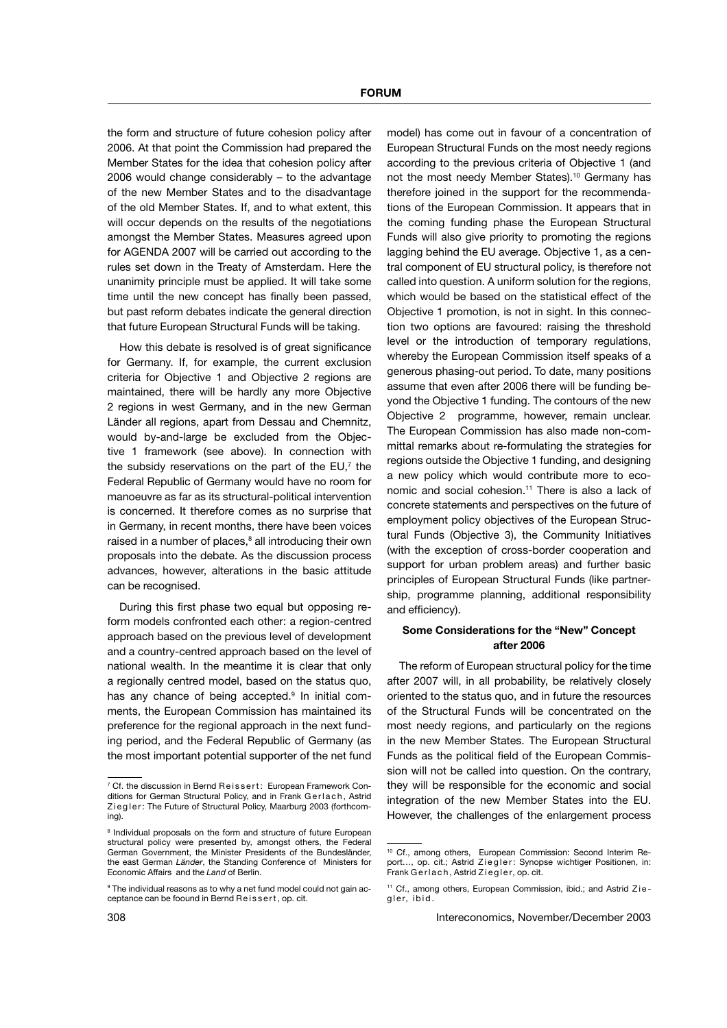the form and structure of future cohesion policy after 2006. At that point the Commission had prepared the Member States for the idea that cohesion policy after 2006 would change considerably – to the advantage of the new Member States and to the disadvantage of the old Member States. If, and to what extent, this will occur depends on the results of the negotiations amongst the Member States. Measures agreed upon for AGENDA 2007 will be carried out according to the rules set down in the Treaty of Amsterdam. Here the unanimity principle must be applied. It will take some time until the new concept has finally been passed, but past reform debates indicate the general direction that future European Structural Funds will be taking.

How this debate is resolved is of great significance for Germany. If, for example, the current exclusion criteria for Objective 1 and Objective 2 regions are maintained, there will be hardly any more Objective 2 regions in west Germany, and in the new German Länder all regions, apart from Dessau and Chemnitz, would by-and-large be excluded from the Objective 1 framework (see above). In connection with the subsidy reservations on the part of the  $EU$ ,<sup>7</sup> the Federal Republic of Germany would have no room for manoeuvre as far as its structural-political intervention is concerned. It therefore comes as no surprise that in Germany, in recent months, there have been voices raised in a number of places,<sup>8</sup> all introducing their own proposals into the debate. As the discussion process advances, however, alterations in the basic attitude can be recognised.

During this first phase two equal but opposing reform models confronted each other: a region-centred approach based on the previous level of development and a country-centred approach based on the level of national wealth. In the meantime it is clear that only a regionally centred model, based on the status quo, has any chance of being accepted.<sup>9</sup> In initial comments, the European Commission has maintained its preference for the regional approach in the next funding period, and the Federal Republic of Germany (as the most important potential supporter of the net fund

model) has come out in favour of a concentration of European Structural Funds on the most needy regions according to the previous criteria of Objective 1 (and not the most needy Member States).<sup>10</sup> Germany has therefore joined in the support for the recommendations of the European Commission. It appears that in the coming funding phase the European Structural Funds will also give priority to promoting the regions lagging behind the EU average. Objective 1, as a central component of EU structural policy, is therefore not called into question. A uniform solution for the regions, which would be based on the statistical effect of the Objective 1 promotion, is not in sight. In this connection two options are favoured: raising the threshold level or the introduction of temporary regulations, whereby the European Commission itself speaks of a generous phasing-out period. To date, many positions assume that even after 2006 there will be funding beyond the Objective 1 funding. The contours of the new Objective 2 programme, however, remain unclear. The European Commission has also made non-committal remarks about re-formulating the strategies for regions outside the Objective 1 funding, and designing a new policy which would contribute more to economic and social cohesion.<sup>11</sup> There is also a lack of concrete statements and perspectives on the future of employment policy objectives of the European Structural Funds (Objective 3), the Community Initiatives (with the exception of cross-border cooperation and support for urban problem areas) and further basic principles of European Structural Funds (like partnership, programme planning, additional responsibility and efficiency).

## **Some Considerations for the "New" Concept after 2006**

The reform of European structural policy for the time after 2007 will, in all probability, be relatively closely oriented to the status quo, and in future the resources of the Structural Funds will be concentrated on the most needy regions, and particularly on the regions in the new Member States. The European Structural Funds as the political field of the European Commission will not be called into question. On the contrary, they will be responsible for the economic and social integration of the new Member States into the EU. However, the challenges of the enlargement process

<sup>&</sup>lt;sup>7</sup> Cf. the discussion in Bernd Reissert: European Framework Conditions for German Structural Policy, and in Frank Gerlach, Astrid Ziegler: The Future of Structural Policy, Maarburg 2003 (forthcoming).

<sup>&</sup>lt;sup>8</sup> Individual proposals on the form and structure of future European structural policy were presented by, amongst others, the Federal German Government, the Minister Presidents of the Bundesländer, the east German *Länder*, the Standing Conference of Ministers for Economic Affairs and the *Land* of Berlin.

<sup>9</sup> The individual reasons as to why a net fund model could not gain acceptance can be foound in Bernd Reissert, op. cit.

<sup>10</sup> Cf., among others, European Commission: Second Interim Report..., op. cit.; Astrid Ziegler: Synopse wichtiger Positionen, in: Frank Gerlach, Astrid Ziegler, op. cit.

<sup>&</sup>lt;sup>11</sup> Cf., among others, European Commission, ibid.; and Astrid Ziegler, ibid.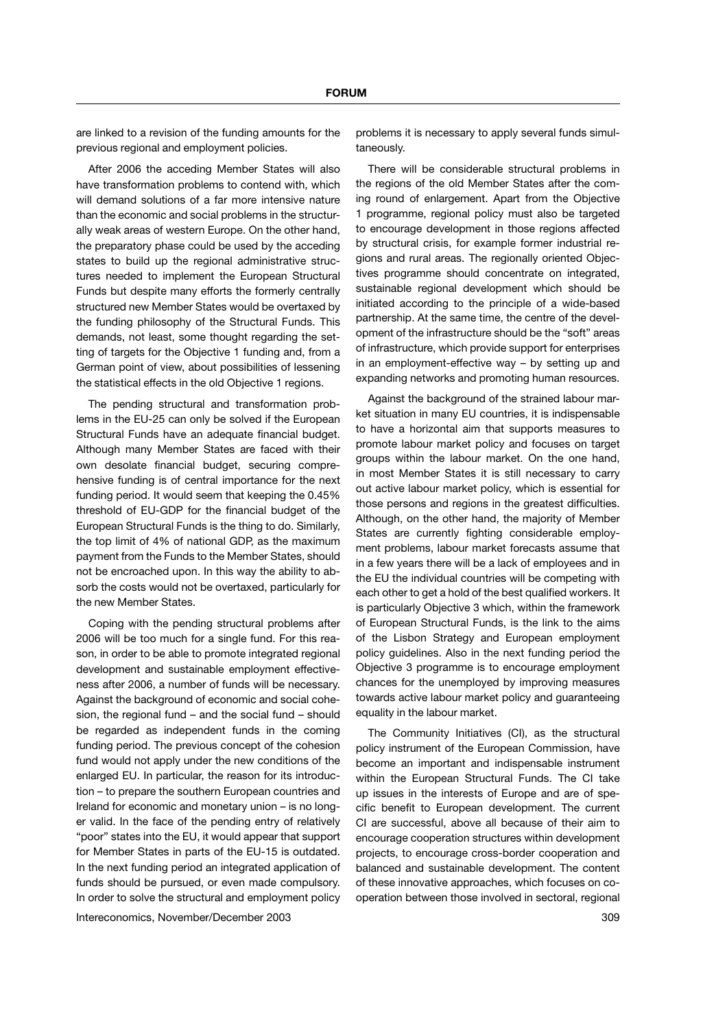are linked to a revision of the funding amounts for the previous regional and employment policies.

After 2006 the acceding Member States will also have transformation problems to contend with, which will demand solutions of a far more intensive nature than the economic and social problems in the structurally weak areas of western Europe. On the other hand, the preparatory phase could be used by the acceding states to build up the regional administrative structures needed to implement the European Structural Funds but despite many efforts the formerly centrally structured new Member States would be overtaxed by the funding philosophy of the Structural Funds. This demands, not least, some thought regarding the setting of targets for the Objective 1 funding and, from a German point of view, about possibilities of lessening the statistical effects in the old Objective 1 regions.

The pending structural and transformation problems in the EU-25 can only be solved if the European Structural Funds have an adequate financial budget. Although many Member States are faced with their own desolate financial budget, securing comprehensive funding is of central importance for the next funding period. It would seem that keeping the 0.45% threshold of EU-GDP for the financial budget of the European Structural Funds is the thing to do. Similarly, the top limit of 4% of national GDP, as the maximum payment from the Funds to the Member States, should not be encroached upon. In this way the ability to absorb the costs would not be overtaxed, particularly for the new Member States.

Coping with the pending structural problems after 2006 will be too much for a single fund. For this reason, in order to be able to promote integrated regional development and sustainable employment effectiveness after 2006, a number of funds will be necessary. Against the background of economic and social cohesion, the regional fund – and the social fund – should be regarded as independent funds in the coming funding period. The previous concept of the cohesion fund would not apply under the new conditions of the enlarged EU. In particular, the reason for its introduction – to prepare the southern European countries and Ireland for economic and monetary union – is no longer valid. In the face of the pending entry of relatively "poor" states into the EU, it would appear that support for Member States in parts of the EU-15 is outdated. In the next funding period an integrated application of funds should be pursued, or even made compulsory. In order to solve the structural and employment policy

Intereconomics, November/December 2003

problems it is necessary to apply several funds simultaneously.

There will be considerable structural problems in the regions of the old Member States after the coming round of enlargement. Apart from the Objective 1 programme, regional policy must also be targeted to encourage development in those regions affected by structural crisis, for example former industrial regions and rural areas. The regionally oriented Objectives programme should concentrate on integrated, sustainable regional development which should be initiated according to the principle of a wide-based partnership. At the same time, the centre of the development of the infrastructure should be the "soft" areas of infrastructure, which provide support for enterprises in an employment-effective way – by setting up and expanding networks and promoting human resources.

Against the background of the strained labour market situation in many EU countries, it is indispensable to have a horizontal aim that supports measures to promote labour market policy and focuses on target groups within the labour market. On the one hand, in most Member States it is still necessary to carry out active labour market policy, which is essential for those persons and regions in the greatest difficulties. Although, on the other hand, the majority of Member States are currently fighting considerable employment problems, labour market forecasts assume that in a few years there will be a lack of employees and in the EU the individual countries will be competing with each other to get a hold of the best qualified workers. It is particularly Objective 3 which, within the framework of European Structural Funds, is the link to the aims of the Lisbon Strategy and European employment policy guidelines. Also in the next funding period the Objective 3 programme is to encourage employment chances for the unemployed by improving measures towards active labour market policy and guaranteeing equality in the labour market.

The Community Initiatives (CI), as the structural policy instrument of the European Commission, have become an important and indispensable instrument within the European Structural Funds. The CI take up issues in the interests of Europe and are of specific benefit to European development. The current CI are successful, above all because of their aim to encourage cooperation structures within development projects, to encourage cross-border cooperation and balanced and sustainable development. The content of these innovative approaches, which focuses on cooperation between those involved in sectoral, regional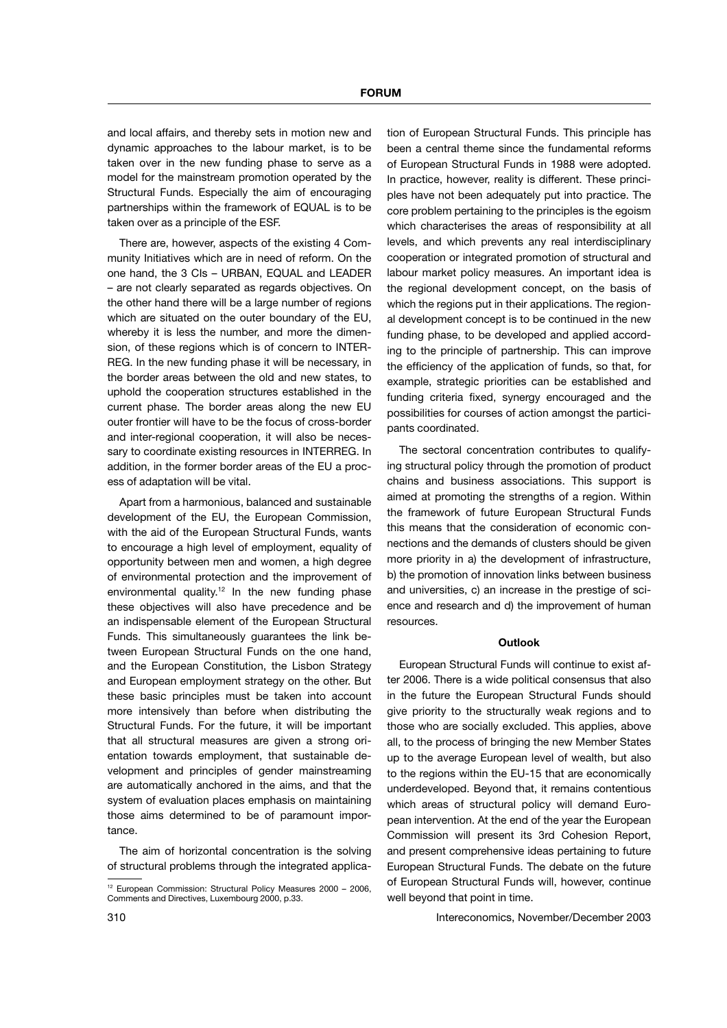and local affairs, and thereby sets in motion new and dynamic approaches to the labour market, is to be taken over in the new funding phase to serve as a model for the mainstream promotion operated by the Structural Funds. Especially the aim of encouraging partnerships within the framework of EQUAL is to be taken over as a principle of the ESF.

There are, however, aspects of the existing 4 Community Initiatives which are in need of reform. On the one hand, the 3 CIs – URBAN, EQUAL and LEADER – are not clearly separated as regards objectives. On the other hand there will be a large number of regions which are situated on the outer boundary of the EU, whereby it is less the number, and more the dimension, of these regions which is of concern to INTER-REG. In the new funding phase it will be necessary, in the border areas between the old and new states, to uphold the cooperation structures established in the current phase. The border areas along the new EU outer frontier will have to be the focus of cross-border and inter-regional cooperation, it will also be necessary to coordinate existing resources in INTERREG. In addition, in the former border areas of the EU a process of adaptation will be vital.

Apart from a harmonious, balanced and sustainable development of the EU, the European Commission, with the aid of the European Structural Funds, wants to encourage a high level of employment, equality of opportunity between men and women, a high degree of environmental protection and the improvement of environmental quality.<sup>12</sup> In the new funding phase these objectives will also have precedence and be an indispensable element of the European Structural Funds. This simultaneously guarantees the link between European Structural Funds on the one hand, and the European Constitution, the Lisbon Strategy and European employment strategy on the other. But these basic principles must be taken into account more intensively than before when distributing the Structural Funds. For the future, it will be important that all structural measures are given a strong orientation towards employment, that sustainable development and principles of gender mainstreaming are automatically anchored in the aims, and that the system of evaluation places emphasis on maintaining those aims determined to be of paramount importance.

The aim of horizontal concentration is the solving of structural problems through the integrated application of European Structural Funds. This principle has been a central theme since the fundamental reforms of European Structural Funds in 1988 were adopted. In practice, however, reality is different. These principles have not been adequately put into practice. The core problem pertaining to the principles is the egoism which characterises the areas of responsibility at all levels, and which prevents any real interdisciplinary cooperation or integrated promotion of structural and labour market policy measures. An important idea is the regional development concept, on the basis of which the regions put in their applications. The regional development concept is to be continued in the new funding phase, to be developed and applied according to the principle of partnership. This can improve the efficiency of the application of funds, so that, for example, strategic priorities can be established and funding criteria fixed, synergy encouraged and the possibilities for courses of action amongst the participants coordinated.

The sectoral concentration contributes to qualifying structural policy through the promotion of product chains and business associations. This support is aimed at promoting the strengths of a region. Within the framework of future European Structural Funds this means that the consideration of economic connections and the demands of clusters should be given more priority in a) the development of infrastructure, b) the promotion of innovation links between business and universities, c) an increase in the prestige of science and research and d) the improvement of human resources.

## **Outlook**

European Structural Funds will continue to exist after 2006. There is a wide political consensus that also in the future the European Structural Funds should give priority to the structurally weak regions and to those who are socially excluded. This applies, above all, to the process of bringing the new Member States up to the average European level of wealth, but also to the regions within the EU-15 that are economically underdeveloped. Beyond that, it remains contentious which areas of structural policy will demand European intervention. At the end of the year the European Commission will present its 3rd Cohesion Report, and present comprehensive ideas pertaining to future European Structural Funds. The debate on the future of European Structural Funds will, however, continue well beyond that point in time.

<sup>12</sup> European Commission: Structural Policy Measures 2000 – 2006, Comments and Directives, Luxembourg 2000, p.33.